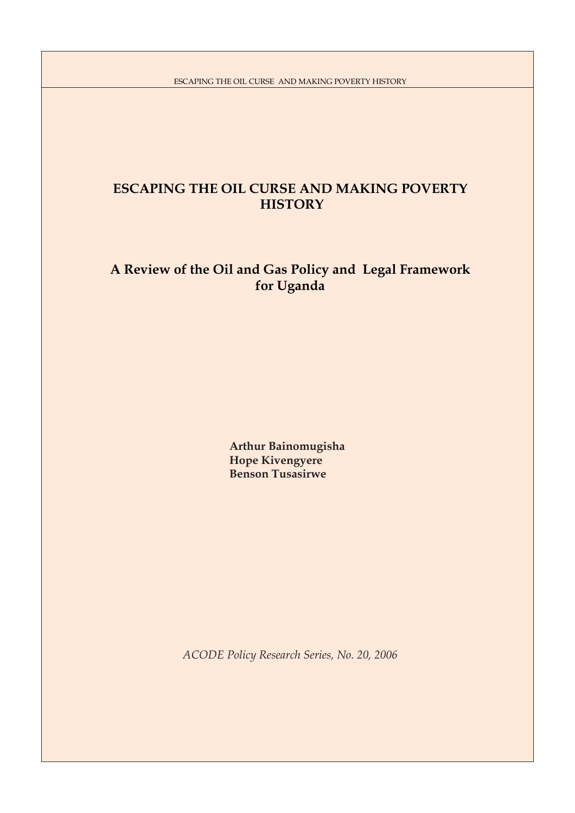# **ESCAPING THE OIL CURSE AND MAKING POVERTY HISTORY**

# **A Review of the Oil and Gas Policy and Legal Framework for Uganda**

 **Arthur Bainomugisha Hope Kivengyere Benson Tusasirwe**

*ACODE Policy Research Series, No. 20, 2006*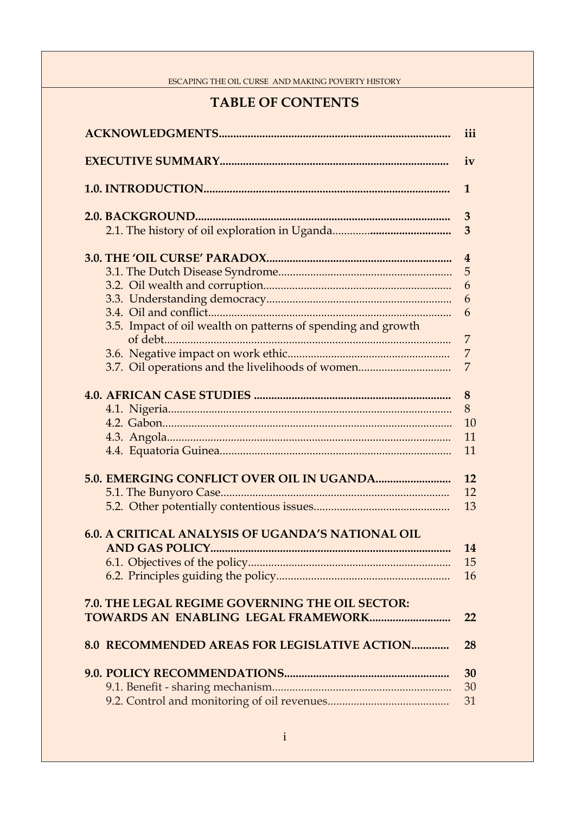# **TABLE OF CONTENTS**

|                                                              | iii            |
|--------------------------------------------------------------|----------------|
|                                                              | iv             |
|                                                              | $\mathbf{1}$   |
|                                                              | 3              |
|                                                              | 3              |
|                                                              | $\overline{4}$ |
|                                                              | 5              |
|                                                              | 6              |
|                                                              | 6              |
|                                                              | 6              |
| 3.5. Impact of oil wealth on patterns of spending and growth | 7              |
|                                                              | 7              |
|                                                              |                |
| 3.7. Oil operations and the livelihoods of women             | 7              |
|                                                              | 8              |
|                                                              | 8              |
|                                                              | 10             |
|                                                              | 11             |
|                                                              |                |
|                                                              | 11             |
|                                                              | 12             |
|                                                              | 12             |
|                                                              | 13             |
|                                                              |                |
| <b>6.0. A CRITICAL ANALYSIS OF UGANDA'S NATIONAL OIL</b>     |                |
|                                                              | 14             |
|                                                              | 15             |
|                                                              | 16             |
| 7.0. THE LEGAL REGIME GOVERNING THE OIL SECTOR:              | 22             |
|                                                              |                |
| <b>8.0 RECOMMENDED AREAS FOR LEGISLATIVE ACTION</b>          | 28             |
|                                                              | 30             |
|                                                              | 30             |
|                                                              | 31             |
|                                                              |                |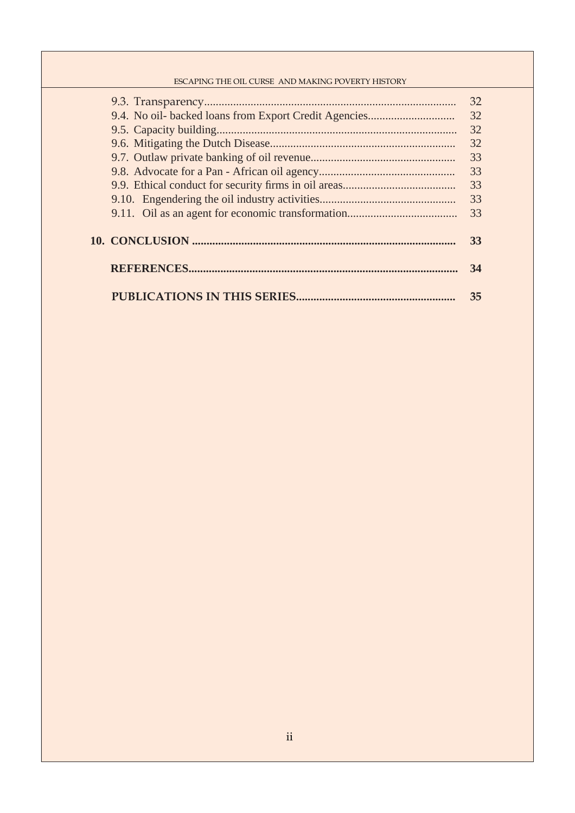|  | 32 |
|--|----|
|  | 32 |
|  | 32 |
|  | 32 |
|  | 33 |
|  | 33 |
|  | 33 |
|  | 33 |
|  | 33 |
|  |    |
|  | 33 |
|  |    |
|  | 34 |
|  |    |
|  | 35 |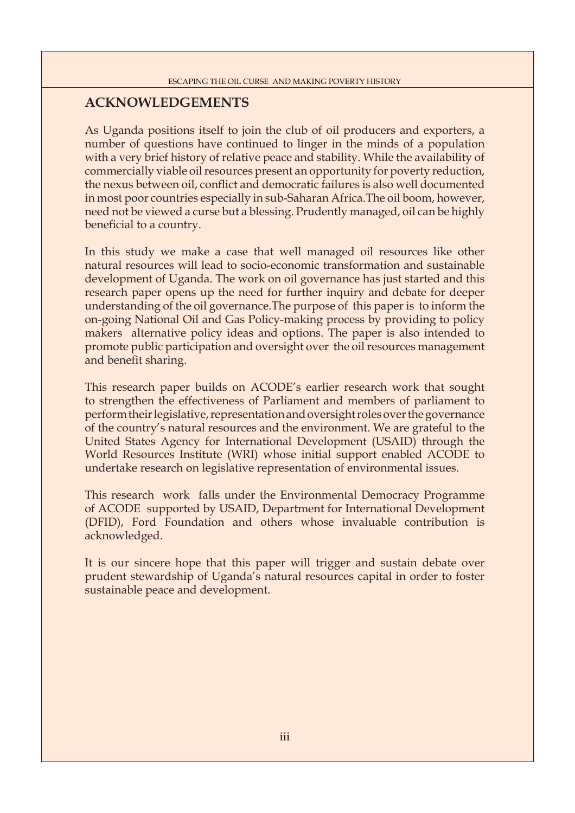## **ACKNOWLEDGEMENTS**

As Uganda positions itself to join the club of oil producers and exporters, a number of questions have continued to linger in the minds of a population with a very brief history of relative peace and stability. While the availability of commercially viable oil resources present an opportunity for poverty reduction, the nexus between oil, conflict and democratic failures is also well documented in most poor countries especially in sub-Saharan Africa.The oil boom, however, need not be viewed a curse but a blessing. Prudently managed, oil can be highly beneficial to a country.

In this study we make a case that well managed oil resources like other natural resources will lead to socio-economic transformation and sustainable development of Uganda. The work on oil governance has just started and this research paper opens up the need for further inquiry and debate for deeper understanding of the oil governance.The purpose of this paper is to inform the on-going National Oil and Gas Policy-making process by providing to policy makers alternative policy ideas and options. The paper is also intended to promote public participation and oversight over the oil resources management and benefit sharing.

This research paper builds on ACODE's earlier research work that sought to strengthen the effectiveness of Parliament and members of parliament to perform their legislative, representation and oversight roles over the governance of the country's natural resources and the environment. We are grateful to the United States Agency for International Development (USAID) through the World Resources Institute (WRI) whose initial support enabled ACODE to undertake research on legislative representation of environmental issues.

This research work falls under the Environmental Democracy Programme of ACODE supported by USAID, Department for International Development (DFID), Ford Foundation and others whose invaluable contribution is acknowledged.

It is our sincere hope that this paper will trigger and sustain debate over prudent stewardship of Uganda's natural resources capital in order to foster sustainable peace and development.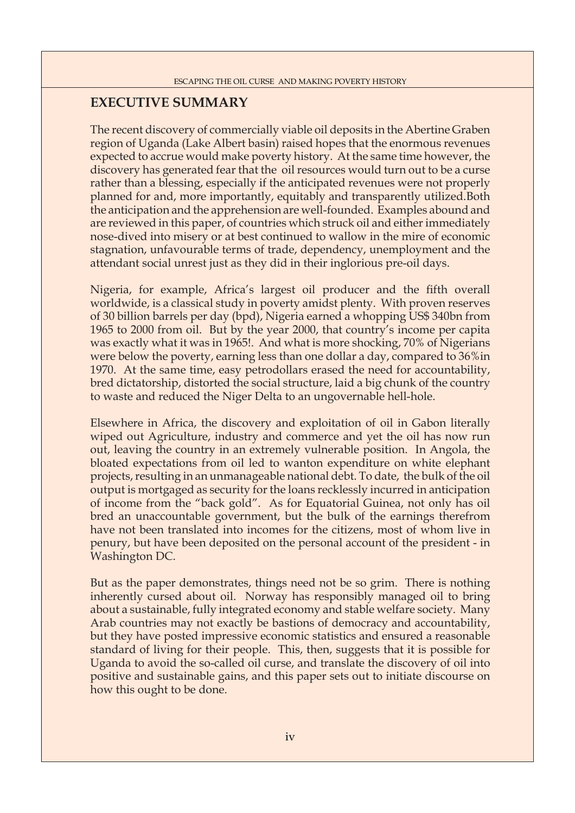## **EXECUTIVE SUMMARY**

The recent discovery of commercially viable oil deposits in the Abertine Graben region of Uganda (Lake Albert basin) raised hopes that the enormous revenues expected to accrue would make poverty history. At the same time however, the discovery has generated fear that the oil resources would turn out to be a curse rather than a blessing, especially if the anticipated revenues were not properly planned for and, more importantly, equitably and transparently utilized.Both the anticipation and the apprehension are well-founded. Examples abound and are reviewed in this paper, of countries which struck oil and either immediately nose-dived into misery or at best continued to wallow in the mire of economic stagnation, unfavourable terms of trade, dependency, unemployment and the attendant social unrest just as they did in their inglorious pre-oil days.

Nigeria, for example, Africa's largest oil producer and the fifth overall worldwide, is a classical study in poverty amidst plenty. With proven reserves of 30 billion barrels per day (bpd), Nigeria earned a whopping US\$ 340bn from 1965 to 2000 from oil. But by the year 2000, that country's income per capita was exactly what it was in 1965!. And what is more shocking, 70% of Nigerians were below the poverty, earning less than one dollar a day, compared to 36%in 1970. At the same time, easy petrodollars erased the need for accountability, bred dictatorship, distorted the social structure, laid a big chunk of the country to waste and reduced the Niger Delta to an ungovernable hell-hole.

Elsewhere in Africa, the discovery and exploitation of oil in Gabon literally wiped out Agriculture, industry and commerce and yet the oil has now run out, leaving the country in an extremely vulnerable position. In Angola, the bloated expectations from oil led to wanton expenditure on white elephant projects, resulting in an unmanageable national debt. To date, the bulk of the oil output is mortgaged as security for the loans recklessly incurred in anticipation of income from the "back gold". As for Equatorial Guinea, not only has oil bred an unaccountable government, but the bulk of the earnings therefrom have not been translated into incomes for the citizens, most of whom live in penury, but have been deposited on the personal account of the president - in Washington DC.

But as the paper demonstrates, things need not be so grim. There is nothing inherently cursed about oil. Norway has responsibly managed oil to bring about a sustainable, fully integrated economy and stable welfare society. Many Arab countries may not exactly be bastions of democracy and accountability, but they have posted impressive economic statistics and ensured a reasonable standard of living for their people. This, then, suggests that it is possible for Uganda to avoid the so-called oil curse, and translate the discovery of oil into positive and sustainable gains, and this paper sets out to initiate discourse on how this ought to be done.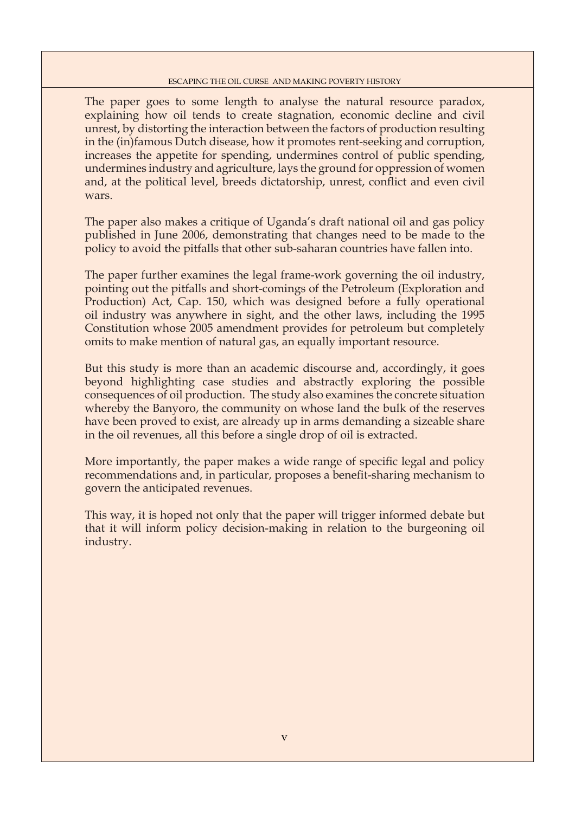The paper goes to some length to analyse the natural resource paradox, explaining how oil tends to create stagnation, economic decline and civil unrest, by distorting the interaction between the factors of production resulting in the (in)famous Dutch disease, how it promotes rent-seeking and corruption, increases the appetite for spending, undermines control of public spending, undermines industry and agriculture, lays the ground for oppression of women and, at the political level, breeds dictatorship, unrest, conflict and even civil wars.

The paper also makes a critique of Uganda's draft national oil and gas policy published in June 2006, demonstrating that changes need to be made to the policy to avoid the pitfalls that other sub-saharan countries have fallen into.

The paper further examines the legal frame-work governing the oil industry, pointing out the pitfalls and short-comings of the Petroleum (Exploration and Production) Act, Cap. 150, which was designed before a fully operational oil industry was anywhere in sight, and the other laws, including the 1995 Constitution whose 2005 amendment provides for petroleum but completely omits to make mention of natural gas, an equally important resource.

But this study is more than an academic discourse and, accordingly, it goes beyond highlighting case studies and abstractly exploring the possible consequences of oil production. The study also examines the concrete situation whereby the Banyoro, the community on whose land the bulk of the reserves have been proved to exist, are already up in arms demanding a sizeable share in the oil revenues, all this before a single drop of oil is extracted.

More importantly, the paper makes a wide range of specific legal and policy recommendations and, in particular, proposes a benefit-sharing mechanism to govern the anticipated revenues.

This way, it is hoped not only that the paper will trigger informed debate but that it will inform policy decision-making in relation to the burgeoning oil industry.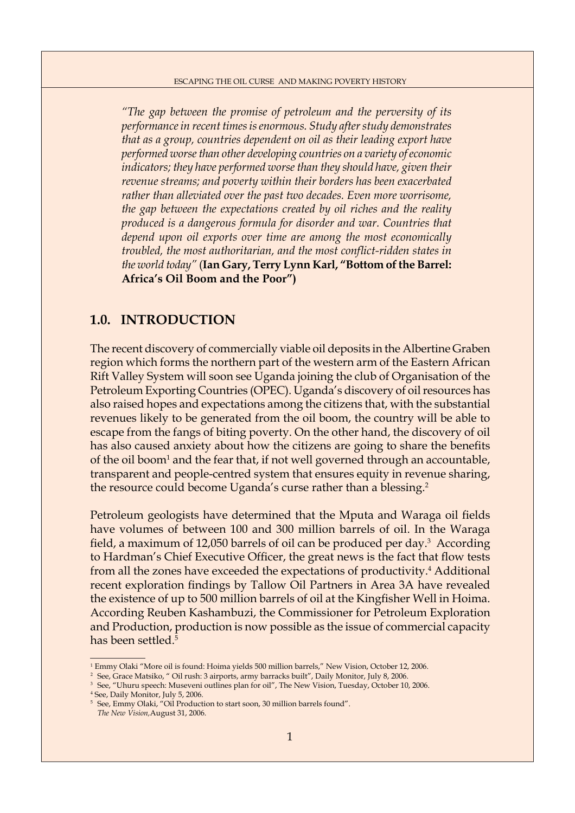*"The gap between the promise of petroleum and the perversity of its performance in recent times is enormous. Study after study demonstrates that as a group, countries dependent on oil as their leading export have performed worse than other developing countries on a variety of economic indicators; they have performed worse than they should have, given their revenue streams; and poverty within their borders has been exacerbated rather than alleviated over the past two decades. Even more worrisome, the gap between the expectations created by oil riches and the reality produced is a dangerous formula for disorder and war. Countries that depend upon oil exports over time are among the most economically troubled, the most authoritarian, and the most conflict-ridden states in the world today"* (**Ian Gary, Terry Lynn Karl, "Bottom of the Barrel: Africa's Oil Boom and the Poor")**

## **1.0. INTRODUCTION**

The recent discovery of commercially viable oil deposits in the Albertine Graben region which forms the northern part of the western arm of the Eastern African Rift Valley System will soon see Uganda joining the club of Organisation of the Petroleum Exporting Countries (OPEC). Uganda's discovery of oil resources has also raised hopes and expectations among the citizens that, with the substantial revenues likely to be generated from the oil boom, the country will be able to escape from the fangs of biting poverty. On the other hand, the discovery of oil has also caused anxiety about how the citizens are going to share the benefits of the oil boom<sup>1</sup> and the fear that, if not well governed through an accountable, transparent and people-centred system that ensures equity in revenue sharing, the resource could become Uganda's curse rather than a blessing.<sup>2</sup>

Petroleum geologists have determined that the Mputa and Waraga oil fields have volumes of between 100 and 300 million barrels of oil. In the Waraga field, a maximum of 12,050 barrels of oil can be produced per day.<sup>3</sup> According to Hardman's Chief Executive Officer, the great news is the fact that flow tests from all the zones have exceeded the expectations of productivity.<sup>4</sup> Additional recent exploration findings by Tallow Oil Partners in Area 3A have revealed the existence of up to 500 million barrels of oil at the Kingfisher Well in Hoima. According Reuben Kashambuzi, the Commissioner for Petroleum Exploration and Production, production is now possible as the issue of commercial capacity has been settled.5

<sup>2</sup> See, Grace Matsiko, " Oil rush: 3 airports, army barracks built", Daily Monitor, July 8, 2006.

<sup>1</sup> Emmy Olaki "More oil is found: Hoima yields 500 million barrels," New Vision, October 12, 2006.

<sup>&</sup>lt;sup>3</sup> See, "Uhuru speech: Museveni outlines plan for oil", The New Vision, Tuesday, October 10, 2006.

<sup>4</sup> See, Daily Monitor, July 5, 2006.

<sup>5</sup> See, Emmy Olaki, "Oil Production to start soon, 30 million barrels found".

*The New Vision,*August 31, 2006.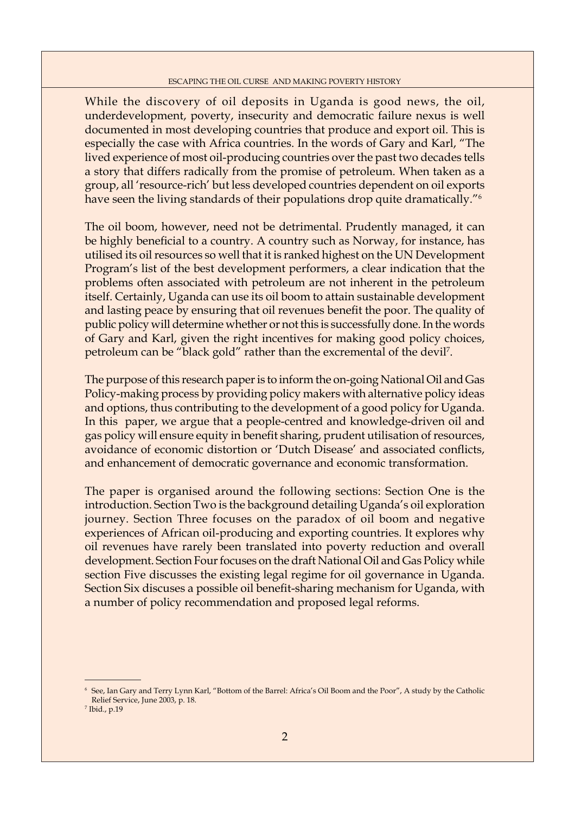While the discovery of oil deposits in Uganda is good news, the oil, underdevelopment, poverty, insecurity and democratic failure nexus is well documented in most developing countries that produce and export oil. This is especially the case with Africa countries. In the words of Gary and Karl, "The lived experience of most oil-producing countries over the past two decades tells a story that differs radically from the promise of petroleum. When taken as a group, all 'resource-rich' but less developed countries dependent on oil exports have seen the living standards of their populations drop quite dramatically."<sup>6</sup>

The oil boom, however, need not be detrimental. Prudently managed, it can be highly beneficial to a country. A country such as Norway, for instance, has utilised its oil resources so well that it is ranked highest on the UN Development Program's list of the best development performers, a clear indication that the problems often associated with petroleum are not inherent in the petroleum itself. Certainly, Uganda can use its oil boom to attain sustainable development and lasting peace by ensuring that oil revenues benefit the poor. The quality of public policy will determine whether or not this is successfully done. In the words of Gary and Karl, given the right incentives for making good policy choices, petroleum can be "black gold" rather than the excremental of the devil7 .

The purpose of this research paper is to inform the on-going National Oil and Gas Policy-making process by providing policy makers with alternative policy ideas and options, thus contributing to the development of a good policy for Uganda. In this paper, we argue that a people-centred and knowledge-driven oil and gas policy will ensure equity in benefit sharing, prudent utilisation of resources, avoidance of economic distortion or 'Dutch Disease' and associated conflicts, and enhancement of democratic governance and economic transformation.

The paper is organised around the following sections: Section One is the introduction. Section Two is the background detailing Uganda's oil exploration journey. Section Three focuses on the paradox of oil boom and negative experiences of African oil-producing and exporting countries. It explores why oil revenues have rarely been translated into poverty reduction and overall development. Section Four focuses on the draft National Oil and Gas Policy while section Five discusses the existing legal regime for oil governance in Uganda. Section Six discuses a possible oil benefit-sharing mechanism for Uganda, with a number of policy recommendation and proposed legal reforms.

<sup>6</sup> See, Ian Gary and Terry Lynn Karl, "Bottom of the Barrel: Africa's Oil Boom and the Poor", A study by the Catholic Relief Service, June 2003, p. 18.

<sup>7</sup> Ibid., p.19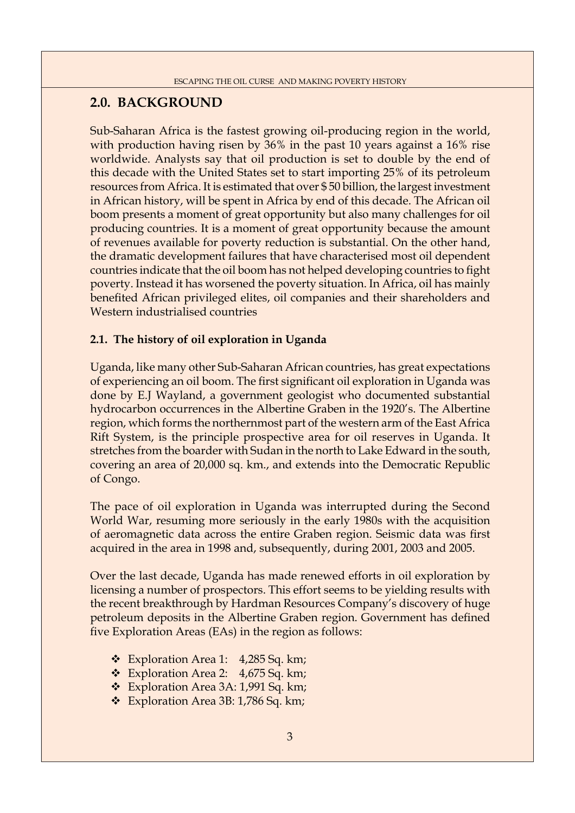## **2.0. BACKGROUND**

Sub-Saharan Africa is the fastest growing oil-producing region in the world, with production having risen by 36% in the past 10 years against a 16% rise worldwide. Analysts say that oil production is set to double by the end of this decade with the United States set to start importing 25% of its petroleum resources from Africa. It is estimated that over \$ 50 billion, the largest investment in African history, will be spent in Africa by end of this decade. The African oil boom presents a moment of great opportunity but also many challenges for oil producing countries. It is a moment of great opportunity because the amount of revenues available for poverty reduction is substantial. On the other hand, the dramatic development failures that have characterised most oil dependent countries indicate that the oil boom has not helped developing countries to fight poverty. Instead it has worsened the poverty situation. In Africa, oil has mainly benefited African privileged elites, oil companies and their shareholders and Western industrialised countries

## **2.1. The history of oil exploration in Uganda**

Uganda, like many other Sub-Saharan African countries, has great expectations of experiencing an oil boom. The first significant oil exploration in Uganda was done by E.J Wayland, a government geologist who documented substantial hydrocarbon occurrences in the Albertine Graben in the 1920's. The Albertine region, which forms the northernmost part of the western arm of the East Africa Rift System, is the principle prospective area for oil reserves in Uganda. It stretches from the boarder with Sudan in the north to Lake Edward in the south, covering an area of 20,000 sq. km., and extends into the Democratic Republic of Congo.

The pace of oil exploration in Uganda was interrupted during the Second World War, resuming more seriously in the early 1980s with the acquisition of aeromagnetic data across the entire Graben region. Seismic data was first acquired in the area in 1998 and, subsequently, during 2001, 2003 and 2005.

Over the last decade, Uganda has made renewed efforts in oil exploration by licensing a number of prospectors. This effort seems to be yielding results with the recent breakthrough by Hardman Resources Company's discovery of huge petroleum deposits in the Albertine Graben region. Government has defined five Exploration Areas (EAs) in the region as follows:

- Exploration Area 1: 4,285 Sq. km;
- Exploration Area 2: 4,675 Sq. km;
- \* Exploration Area 3A: 1,991 Sq. km;
- \* Exploration Area 3B: 1,786 Sq. km;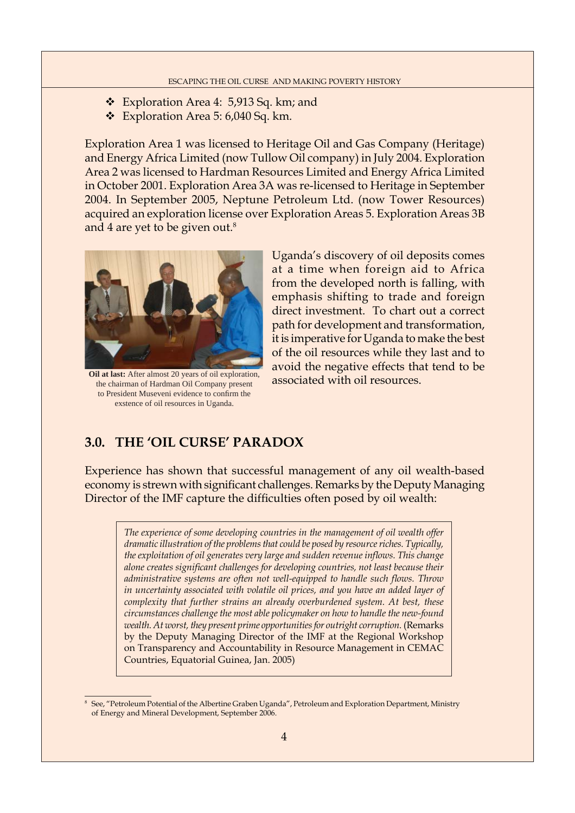- Exploration Area 4: 5,913 Sq. km; and
- Exploration Area 5: 6,040 Sq. km.

Exploration Area 1 was licensed to Heritage Oil and Gas Company (Heritage) and Energy Africa Limited (now Tullow Oil company) in July 2004. Exploration Area 2 was licensed to Hardman Resources Limited and Energy Africa Limited in October 2001. Exploration Area 3A was re-licensed to Heritage in September 2004. In September 2005, Neptune Petroleum Ltd. (now Tower Resources) acquired an exploration license over Exploration Areas 5. Exploration Areas 3B and 4 are yet to be given out.<sup>8</sup>



**Oil at last:** After almost 20 years of oil exploration, the chairman of Hardman Oil Company present to President Museveni evidence to confirm the exstence of oil resources in Uganda.

Uganda's discovery of oil deposits comes at a time when foreign aid to Africa from the developed north is falling, with emphasis shifting to trade and foreign direct investment. To chart out a correct path for development and transformation, it is imperative for Uganda to make the best of the oil resources while they last and to avoid the negative effects that tend to be associated with oil resources.

## **3.0. THE 'OIL CURSE' PARADOX**

Experience has shown that successful management of any oil wealth-based economy is strewn with significant challenges. Remarks by the Deputy Managing Director of the IMF capture the difficulties often posed by oil wealth:

*The experience of some developing countries in the management of oil wealth offer dramatic illustration of the problems that could be posed by resource riches. Typically,*  the exploitation of oil generates very large and sudden revenue inflows. This change alone creates significant challenges for developing countries, not least because their *administrative systems are often not well-equipped to handle such flows. Throw in uncertainty associated with volatile oil prices, and you have an added layer of complexity that further strains an already overburdened system. At best, these circumstances challenge the most able policymaker on how to handle the new-found wealth. At worst, they present prime opportunities for outright corruption.* (Remarks by the Deputy Managing Director of the IMF at the Regional Workshop on Transparency and Accountability in Resource Management in CEMAC Countries, Equatorial Guinea, Jan. 2005)

<sup>8</sup> See, "Petroleum Potential of the Albertine Graben Uganda", Petroleum and Exploration Department, Ministry of Energy and Mineral Development, September 2006.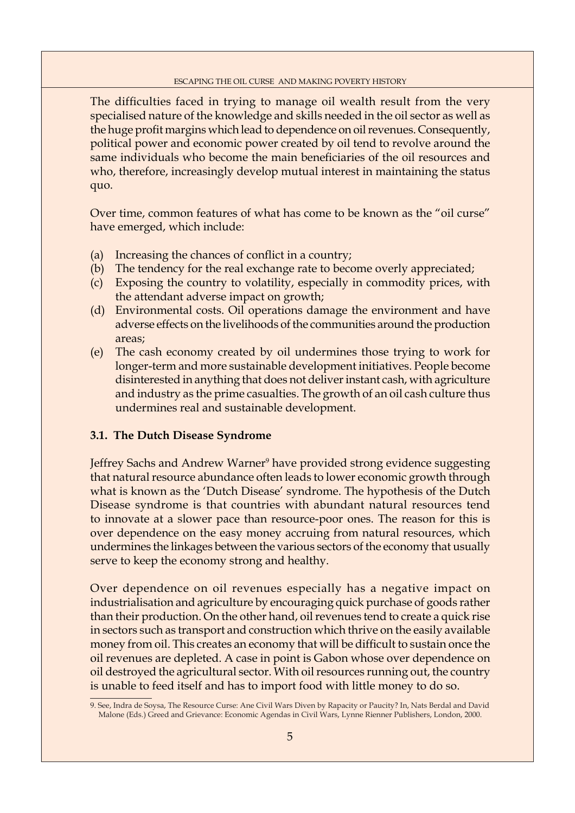The difficulties faced in trying to manage oil wealth result from the very specialised nature of the knowledge and skills needed in the oil sector as well as the huge profit margins which lead to dependence on oil revenues. Consequently, political power and economic power created by oil tend to revolve around the same individuals who become the main beneficiaries of the oil resources and who, therefore, increasingly develop mutual interest in maintaining the status quo.

Over time, common features of what has come to be known as the "oil curse" have emerged, which include:

- (a) Increasing the chances of conflict in a country;
- (b) The tendency for the real exchange rate to become overly appreciated;
- (c) Exposing the country to volatility, especially in commodity prices, with the attendant adverse impact on growth;
- (d) Environmental costs. Oil operations damage the environment and have adverse effects on the livelihoods of the communities around the production areas;
- (e) The cash economy created by oil undermines those trying to work for longer-term and more sustainable development initiatives. People become disinterested in anything that does not deliver instant cash, with agriculture and industry as the prime casualties. The growth of an oil cash culture thus undermines real and sustainable development.

#### **3.1. The Dutch Disease Syndrome**

Jeffrey Sachs and Andrew Warner<sup>9</sup> have provided strong evidence suggesting that natural resource abundance often leads to lower economic growth through what is known as the 'Dutch Disease' syndrome. The hypothesis of the Dutch Disease syndrome is that countries with abundant natural resources tend to innovate at a slower pace than resource-poor ones. The reason for this is over dependence on the easy money accruing from natural resources, which undermines the linkages between the various sectors of the economy that usually serve to keep the economy strong and healthy.

Over dependence on oil revenues especially has a negative impact on industrialisation and agriculture by encouraging quick purchase of goods rather than their production. On the other hand, oil revenues tend to create a quick rise in sectors such as transport and construction which thrive on the easily available money from oil. This creates an economy that will be difficult to sustain once the oil revenues are depleted. A case in point is Gabon whose over dependence on oil destroyed the agricultural sector. With oil resources running out, the country is unable to feed itself and has to import food with little money to do so.

<sup>9.</sup> See, Indra de Soysa, The Resource Curse: Ane Civil Wars Diven by Rapacity or Paucity? In, Nats Berdal and David Malone (Eds.) Greed and Grievance: Economic Agendas in Civil Wars, Lynne Rienner Publishers, London, 2000.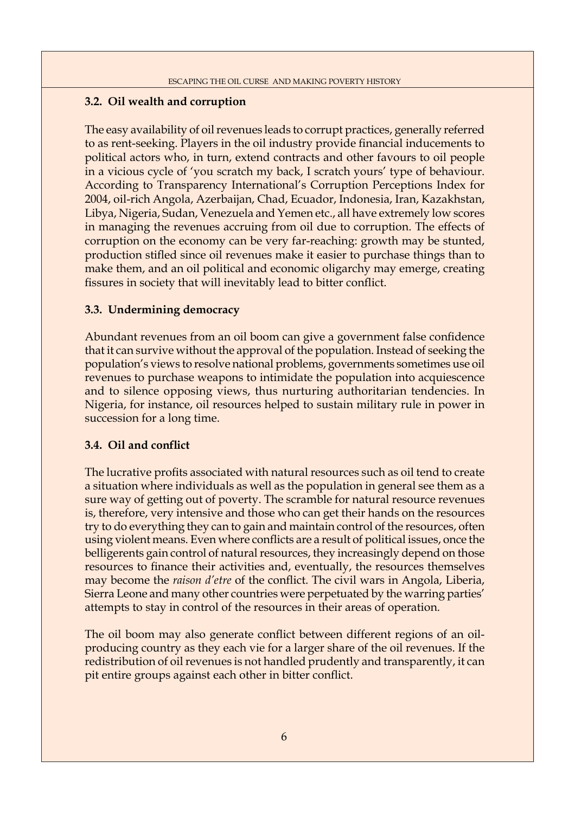### **3.2. Oil wealth and corruption**

The easy availability of oil revenues leads to corrupt practices, generally referred to as rent-seeking. Players in the oil industry provide financial inducements to political actors who, in turn, extend contracts and other favours to oil people in a vicious cycle of 'you scratch my back, I scratch yours' type of behaviour. According to Transparency International's Corruption Perceptions Index for 2004, oil-rich Angola, Azerbaijan, Chad, Ecuador, Indonesia, Iran, Kazakhstan, Libya, Nigeria, Sudan, Venezuela and Yemen etc., all have extremely low scores in managing the revenues accruing from oil due to corruption. The effects of corruption on the economy can be very far-reaching: growth may be stunted, production stifled since oil revenues make it easier to purchase things than to make them, and an oil political and economic oligarchy may emerge, creating fissures in society that will inevitably lead to bitter conflict.

### **3.3. Undermining democracy**

Abundant revenues from an oil boom can give a government false confidence that it can survive without the approval of the population. Instead of seeking the population's views to resolve national problems, governments sometimes use oil revenues to purchase weapons to intimidate the population into acquiescence and to silence opposing views, thus nurturing authoritarian tendencies. In Nigeria, for instance, oil resources helped to sustain military rule in power in succession for a long time.

### **3.4. Oil and conflict**

The lucrative profits associated with natural resources such as oil tend to create a situation where individuals as well as the population in general see them as a sure way of getting out of poverty. The scramble for natural resource revenues is, therefore, very intensive and those who can get their hands on the resources try to do everything they can to gain and maintain control of the resources, often using violent means. Even where conflicts are a result of political issues, once the belligerents gain control of natural resources, they increasingly depend on those resources to finance their activities and, eventually, the resources themselves may become the *raison d'etre* of the conflict. The civil wars in Angola, Liberia, Sierra Leone and many other countries were perpetuated by the warring parties' attempts to stay in control of the resources in their areas of operation.

The oil boom may also generate conflict between different regions of an oilproducing country as they each vie for a larger share of the oil revenues. If the redistribution of oil revenues is not handled prudently and transparently, it can pit entire groups against each other in bitter conflict.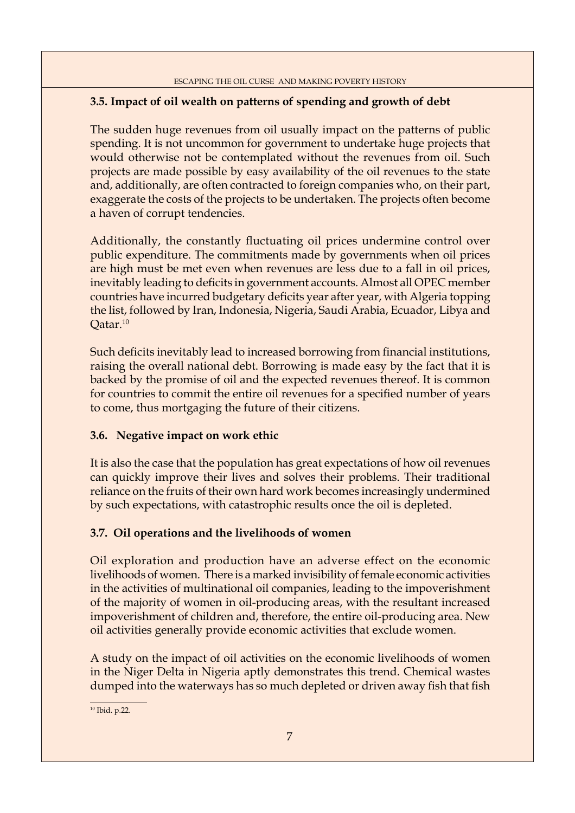## **3.5. Impact of oil wealth on patterns of spending and growth of debt**

The sudden huge revenues from oil usually impact on the patterns of public spending. It is not uncommon for government to undertake huge projects that would otherwise not be contemplated without the revenues from oil. Such projects are made possible by easy availability of the oil revenues to the state and, additionally, are often contracted to foreign companies who, on their part, exaggerate the costs of the projects to be undertaken. The projects often become a haven of corrupt tendencies.

Additionally, the constantly fluctuating oil prices undermine control over public expenditure. The commitments made by governments when oil prices are high must be met even when revenues are less due to a fall in oil prices, inevitably leading to deficits in government accounts. Almost all OPEC member countries have incurred budgetary deficits year after year, with Algeria topping the list, followed by Iran, Indonesia, Nigeria, Saudi Arabia, Ecuador, Libya and Qatar.10

Such deficits inevitably lead to increased borrowing from financial institutions, raising the overall national debt. Borrowing is made easy by the fact that it is backed by the promise of oil and the expected revenues thereof. It is common for countries to commit the entire oil revenues for a specified number of years to come, thus mortgaging the future of their citizens.

## **3.6. Negative impact on work ethic**

It is also the case that the population has great expectations of how oil revenues can quickly improve their lives and solves their problems. Their traditional reliance on the fruits of their own hard work becomes increasingly undermined by such expectations, with catastrophic results once the oil is depleted.

## **3.7. Oil operations and the livelihoods of women**

Oil exploration and production have an adverse effect on the economic livelihoods of women. There is a marked invisibility of female economic activities in the activities of multinational oil companies, leading to the impoverishment of the majority of women in oil-producing areas, with the resultant increased impoverishment of children and, therefore, the entire oil-producing area. New oil activities generally provide economic activities that exclude women.

A study on the impact of oil activities on the economic livelihoods of women in the Niger Delta in Nigeria aptly demonstrates this trend. Chemical wastes dumped into the waterways has so much depleted or driven away fish that fish

10 Ibid. p.22.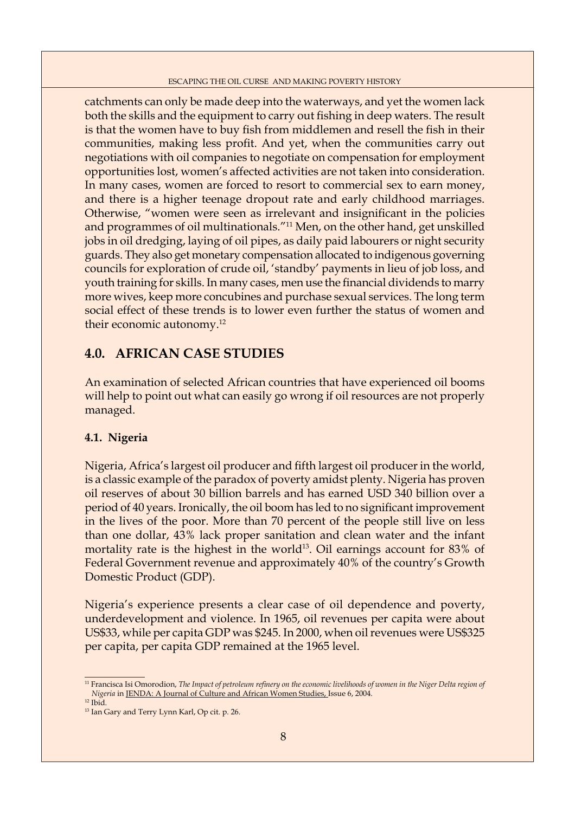catchments can only be made deep into the waterways, and yet the women lack both the skills and the equipment to carry out fishing in deep waters. The result is that the women have to buy fish from middlemen and resell the fish in their communities, making less profit. And yet, when the communities carry out negotiations with oil companies to negotiate on compensation for employment opportunities lost, women's affected activities are not taken into consideration. In many cases, women are forced to resort to commercial sex to earn money, and there is a higher teenage dropout rate and early childhood marriages. Otherwise, "women were seen as irrelevant and insignificant in the policies and programmes of oil multinationals."11 Men, on the other hand, get unskilled jobs in oil dredging, laying of oil pipes, as daily paid labourers or night security guards. They also get monetary compensation allocated to indigenous governing councils for exploration of crude oil, 'standby' payments in lieu of job loss, and youth training for skills. In many cases, men use the financial dividends to marry more wives, keep more concubines and purchase sexual services. The long term social effect of these trends is to lower even further the status of women and their economic autonomy.12

## **4.0. AFRICAN CASE STUDIES**

An examination of selected African countries that have experienced oil booms will help to point out what can easily go wrong if oil resources are not properly managed.

### **4.1. Nigeria**

Nigeria, Africa's largest oil producer and fifth largest oil producer in the world, is a classic example of the paradox of poverty amidst plenty. Nigeria has proven oil reserves of about 30 billion barrels and has earned USD 340 billion over a period of 40 years. Ironically, the oil boom has led to no significant improvement in the lives of the poor. More than 70 percent of the people still live on less than one dollar, 43% lack proper sanitation and clean water and the infant mortality rate is the highest in the world<sup>13</sup>. Oil earnings account for  $83\%$  of Federal Government revenue and approximately 40% of the country's Growth Domestic Product (GDP).

Nigeria's experience presents a clear case of oil dependence and poverty, underdevelopment and violence. In 1965, oil revenues per capita were about US\$33, while per capita GDP was \$245. In 2000, when oil revenues were US\$325 per capita, per capita GDP remained at the 1965 level.

<sup>&</sup>lt;sup>11</sup> Francisca Isi Omorodion, *The Impact of petroleum refinery on the economic livelihoods of women in the Niger Delta region of Nigeria* in JENDA: A Journal of Culture and African Women Studies, Issue 6, 2004.

<sup>12</sup> Ibid.

<sup>&</sup>lt;sup>13</sup> Ian Gary and Terry Lynn Karl, Op cit. p. 26.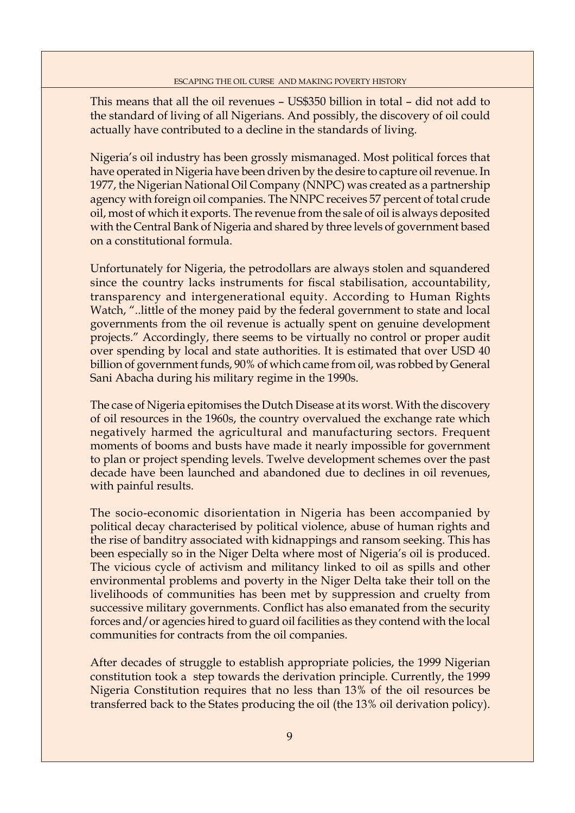This means that all the oil revenues – US\$350 billion in total – did not add to the standard of living of all Nigerians. And possibly, the discovery of oil could actually have contributed to a decline in the standards of living.

Nigeria's oil industry has been grossly mismanaged. Most political forces that have operated in Nigeria have been driven by the desire to capture oil revenue. In 1977, the Nigerian National Oil Company (NNPC) was created as a partnership agency with foreign oil companies. The NNPC receives 57 percent of total crude oil, most of which it exports. The revenue from the sale of oil is always deposited with the Central Bank of Nigeria and shared by three levels of government based on a constitutional formula.

Unfortunately for Nigeria, the petrodollars are always stolen and squandered since the country lacks instruments for fiscal stabilisation, accountability, transparency and intergenerational equity. According to Human Rights Watch, "..little of the money paid by the federal government to state and local governments from the oil revenue is actually spent on genuine development projects." Accordingly, there seems to be virtually no control or proper audit over spending by local and state authorities. It is estimated that over USD 40 billion of government funds, 90% of which came from oil, was robbed by General Sani Abacha during his military regime in the 1990s.

The case of Nigeria epitomises the Dutch Disease at its worst. With the discovery of oil resources in the 1960s, the country overvalued the exchange rate which negatively harmed the agricultural and manufacturing sectors. Frequent moments of booms and busts have made it nearly impossible for government to plan or project spending levels. Twelve development schemes over the past decade have been launched and abandoned due to declines in oil revenues, with painful results.

The socio-economic disorientation in Nigeria has been accompanied by political decay characterised by political violence, abuse of human rights and the rise of banditry associated with kidnappings and ransom seeking. This has been especially so in the Niger Delta where most of Nigeria's oil is produced. The vicious cycle of activism and militancy linked to oil as spills and other environmental problems and poverty in the Niger Delta take their toll on the livelihoods of communities has been met by suppression and cruelty from successive military governments. Conflict has also emanated from the security forces and/or agencies hired to guard oil facilities as they contend with the local communities for contracts from the oil companies.

After decades of struggle to establish appropriate policies, the 1999 Nigerian constitution took a step towards the derivation principle. Currently, the 1999 Nigeria Constitution requires that no less than 13% of the oil resources be transferred back to the States producing the oil (the 13% oil derivation policy).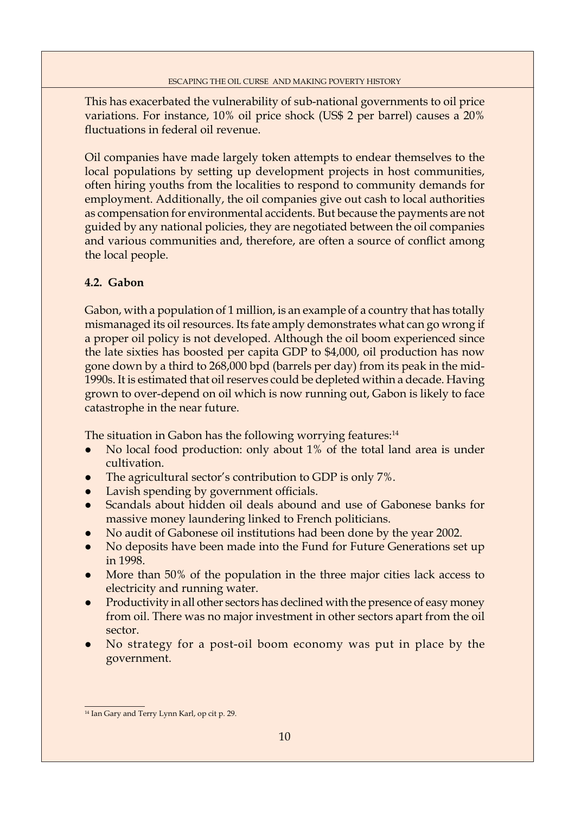This has exacerbated the vulnerability of sub-national governments to oil price variations. For instance, 10% oil price shock (US\$ 2 per barrel) causes a 20% fluctuations in federal oil revenue.

Oil companies have made largely token attempts to endear themselves to the local populations by setting up development projects in host communities, often hiring youths from the localities to respond to community demands for employment. Additionally, the oil companies give out cash to local authorities as compensation for environmental accidents. But because the payments are not guided by any national policies, they are negotiated between the oil companies and various communities and, therefore, are often a source of conflict among the local people.

## **4.2. Gabon**

Gabon, with a population of 1 million, is an example of a country that has totally mismanaged its oil resources. Its fate amply demonstrates what can go wrong if a proper oil policy is not developed. Although the oil boom experienced since the late sixties has boosted per capita GDP to \$4,000, oil production has now gone down by a third to 268,000 bpd (barrels per day) from its peak in the mid-1990s. It is estimated that oil reserves could be depleted within a decade. Having grown to over-depend on oil which is now running out, Gabon is likely to face catastrophe in the near future.

The situation in Gabon has the following worrying features:<sup>14</sup>

- No local food production: only about 1% of the total land area is under cultivation.
- The agricultural sector's contribution to GDP is only 7%.
- Lavish spending by government officials.
- Scandals about hidden oil deals abound and use of Gabonese banks for massive money laundering linked to French politicians.
- No audit of Gabonese oil institutions had been done by the year 2002.
- No deposits have been made into the Fund for Future Generations set up in 1998.
- More than 50% of the population in the three major cities lack access to electricity and running water.
- Productivity in all other sectors has declined with the presence of easy money from oil. There was no major investment in other sectors apart from the oil sector.
- No strategy for a post-oil boom economy was put in place by the government.

<sup>&</sup>lt;sup>14</sup> Ian Gary and Terry Lynn Karl, op cit p. 29.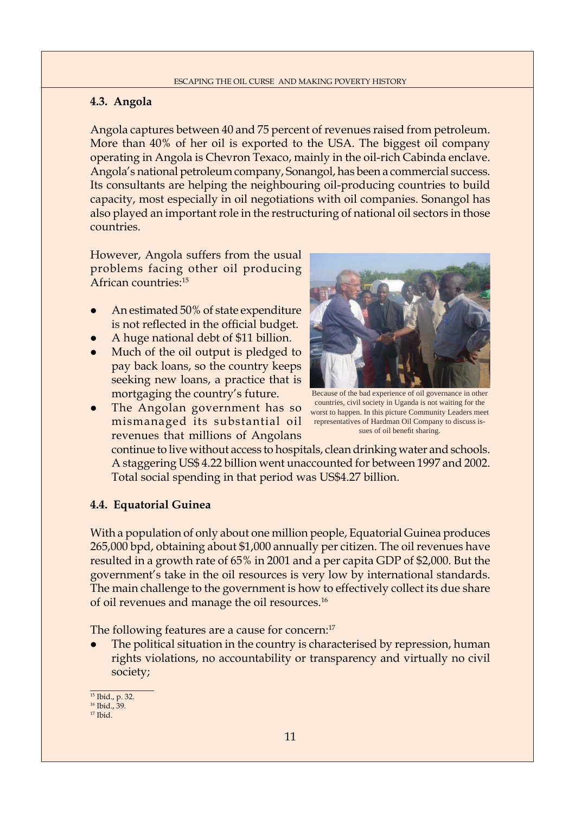## **4.3. Angola**

Angola captures between 40 and 75 percent of revenues raised from petroleum. More than 40% of her oil is exported to the USA. The biggest oil company operating in Angola is Chevron Texaco, mainly in the oil-rich Cabinda enclave. Angola's national petroleum company, Sonangol, has been a commercial success. Its consultants are helping the neighbouring oil-producing countries to build capacity, most especially in oil negotiations with oil companies. Sonangol has also played an important role in the restructuring of national oil sectors in those countries.

However, Angola suffers from the usual problems facing other oil producing African countries:15

- An estimated 50% of state expenditure is not reflected in the official budget.
- A huge national debt of \$11 billion.
- Much of the oil output is pledged to pay back loans, so the country keeps seeking new loans, a practice that is mortgaging the country's future.
- The Angolan government has so mismanaged its substantial oil representatives of Hardman Oil Company to discuss isrevenues that millions of Angolans



Because of the bad experience of oil governance in other countries, civil society in Uganda is not waiting for the worst to happen. In this picture Community Leaders meet sues of oil benefit sharing.

continue to live without access to hospitals, clean drinking water and schools. A staggering US\$ 4.22 billion went unaccounted for between 1997 and 2002. Total social spending in that period was US\$4.27 billion.

### **4.4. Equatorial Guinea**

With a population of only about one million people, Equatorial Guinea produces 265,000 bpd, obtaining about \$1,000 annually per citizen. The oil revenues have resulted in a growth rate of 65% in 2001 and a per capita GDP of \$2,000. But the government's take in the oil resources is very low by international standards. The main challenge to the government is how to effectively collect its due share of oil revenues and manage the oil resources.16

The following features are a cause for concern:<sup>17</sup>

The political situation in the country is characterised by repression, human rights violations, no accountability or transparency and virtually no civil society;

15 Ibid., p. 32. 16 Ibid., 39.

17 Ibid.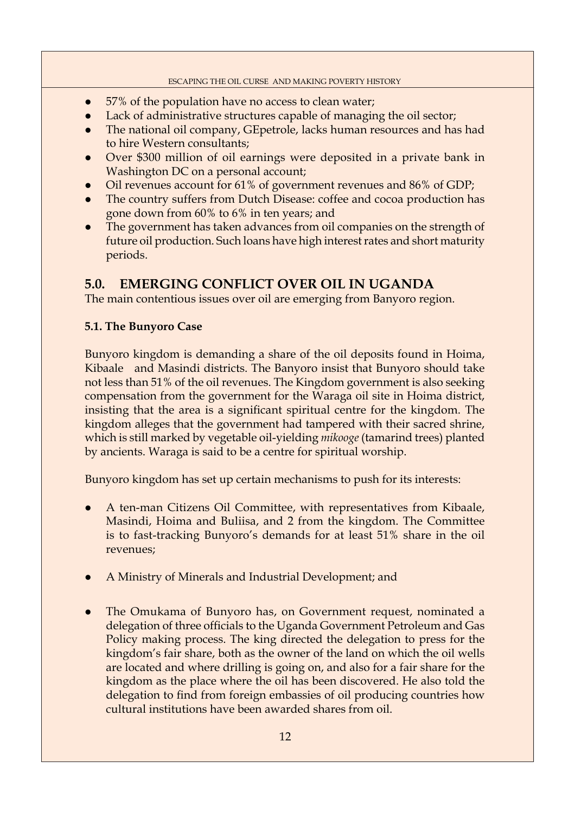- $\bullet$  57% of the population have no access to clean water;
- Lack of administrative structures capable of managing the oil sector;
- The national oil company, GEpetrole, lacks human resources and has had to hire Western consultants;
- Over \$300 million of oil earnings were deposited in a private bank in Washington DC on a personal account;
- Oil revenues account for 61% of government revenues and 86% of GDP;
- The country suffers from Dutch Disease: coffee and cocoa production has gone down from 60% to 6% in ten years; and
- The government has taken advances from oil companies on the strength of future oil production. Such loans have high interest rates and short maturity periods.

# **5.0. EMERGING CONFLICT OVER OIL IN UGANDA**

The main contentious issues over oil are emerging from Banyoro region.

## **5.1. The Bunyoro Case**

Bunyoro kingdom is demanding a share of the oil deposits found in Hoima, Kibaale and Masindi districts. The Banyoro insist that Bunyoro should take not less than 51% of the oil revenues. The Kingdom government is also seeking compensation from the government for the Waraga oil site in Hoima district, insisting that the area is a significant spiritual centre for the kingdom. The kingdom alleges that the government had tampered with their sacred shrine, which is still marked by vegetable oil-yielding *mikooge* (tamarind trees) planted by ancients. Waraga is said to be a centre for spiritual worship.

Bunyoro kingdom has set up certain mechanisms to push for its interests:

- A ten-man Citizens Oil Committee, with representatives from Kibaale, Masindi, Hoima and Buliisa, and 2 from the kingdom. The Committee is to fast-tracking Bunyoro's demands for at least 51% share in the oil revenues;
- A Ministry of Minerals and Industrial Development; and
- The Omukama of Bunyoro has, on Government request, nominated a delegation of three officials to the Uganda Government Petroleum and Gas Policy making process. The king directed the delegation to press for the kingdom's fair share, both as the owner of the land on which the oil wells are located and where drilling is going on, and also for a fair share for the kingdom as the place where the oil has been discovered. He also told the delegation to find from foreign embassies of oil producing countries how cultural institutions have been awarded shares from oil.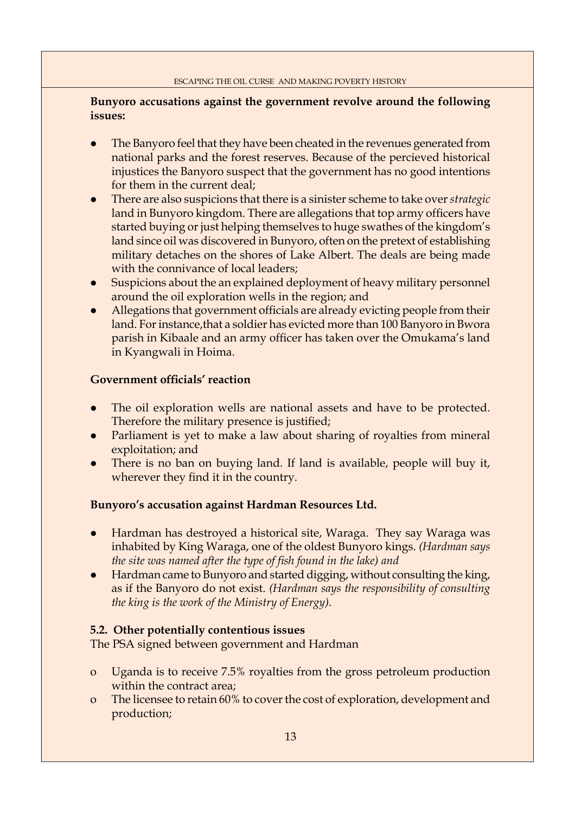## **Bunyoro accusations against the government revolve around the following issues:**

- The Banyoro feel that they have been cheated in the revenues generated from national parks and the forest reserves. Because of the percieved historical injustices the Banyoro suspect that the government has no good intentions for them in the current deal;
- z There are also suspicions that there is a sinister scheme to take over *strategic*  land in Bunyoro kingdom. There are allegations that top army officers have started buying or just helping themselves to huge swathes of the kingdom's land since oil was discovered in Bunyoro, often on the pretext of establishing military detaches on the shores of Lake Albert. The deals are being made with the connivance of local leaders;
- Suspicions about the an explained deployment of heavy military personnel around the oil exploration wells in the region; and
- Allegations that government officials are already evicting people from their land. For instance,that a soldier has evicted more than 100 Banyoro in Bwora parish in Kibaale and an army officer has taken over the Omukama's land in Kyangwali in Hoima.

## **Government officials' reaction**

- The oil exploration wells are national assets and have to be protected. Therefore the military presence is justified;
- Parliament is yet to make a law about sharing of royalties from mineral exploitation; and
- There is no ban on buying land. If land is available, people will buy it, wherever they find it in the country.

## **Bunyoro's accusation against Hardman Resources Ltd.**

- Hardman has destroyed a historical site, Waraga. They say Waraga was inhabited by King Waraga, one of the oldest Bunyoro kings. *(Hardman says the site was named after the type of fish found in the lake) and*
- Hardman came to Bunyoro and started digging, without consulting the king, as if the Banyoro do not exist. *(Hardman says the responsibility of consulting the king is the work of the Ministry of Energy).*

## **5.2. Other potentially contentious issues**

The PSA signed between government and Hardman

- o Uganda is to receive 7.5% royalties from the gross petroleum production within the contract area;
- o The licensee to retain 60% to cover the cost of exploration, development and production;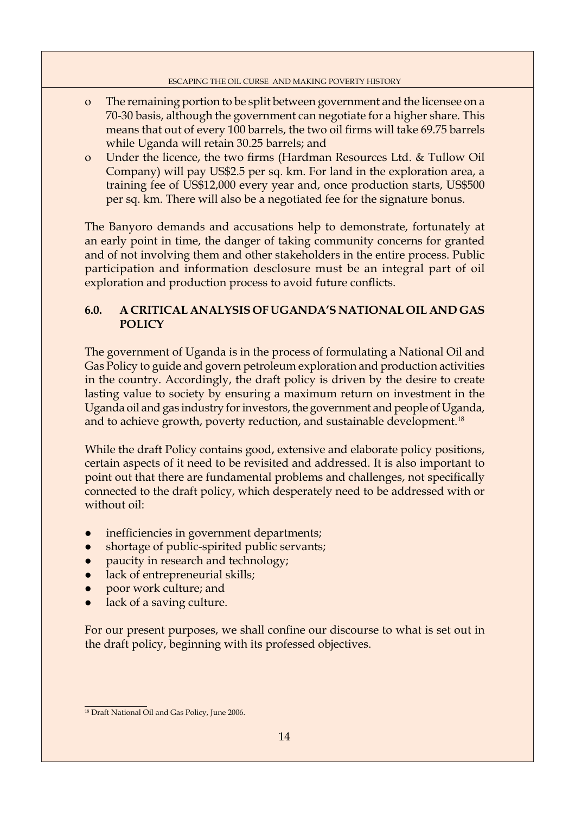- o The remaining portion to be split between government and the licensee on a 70-30 basis, although the government can negotiate for a higher share. This means that out of every 100 barrels, the two oil firms will take 69.75 barrels while Uganda will retain 30.25 barrels; and
- o Under the licence, the two firms (Hardman Resources Ltd. & Tullow Oil Company) will pay US\$2.5 per sq. km. For land in the exploration area, a training fee of US\$12,000 every year and, once production starts, US\$500 per sq. km. There will also be a negotiated fee for the signature bonus.

The Banyoro demands and accusations help to demonstrate, fortunately at an early point in time, the danger of taking community concerns for granted and of not involving them and other stakeholders in the entire process. Public participation and information desclosure must be an integral part of oil exploration and production process to avoid future conflicts.

## **6.0. A CRITICAL ANALYSIS OF UGANDA'S NATIONAL OIL AND GAS POLICY**

The government of Uganda is in the process of formulating a National Oil and Gas Policy to guide and govern petroleum exploration and production activities in the country. Accordingly, the draft policy is driven by the desire to create lasting value to society by ensuring a maximum return on investment in the Uganda oil and gas industry for investors, the government and people of Uganda, and to achieve growth, poverty reduction, and sustainable development.<sup>18</sup>

While the draft Policy contains good, extensive and elaborate policy positions, certain aspects of it need to be revisited and addressed. It is also important to point out that there are fundamental problems and challenges, not specifically connected to the draft policy, which desperately need to be addressed with or without oil:

- inefficiencies in government departments;
- shortage of public-spirited public servants;
- paucity in research and technology;
- lack of entrepreneurial skills;
- poor work culture; and
- lack of a saving culture.

For our present purposes, we shall confine our discourse to what is set out in the draft policy, beginning with its professed objectives.

<sup>&</sup>lt;sup>18</sup> Draft National Oil and Gas Policy, June 2006.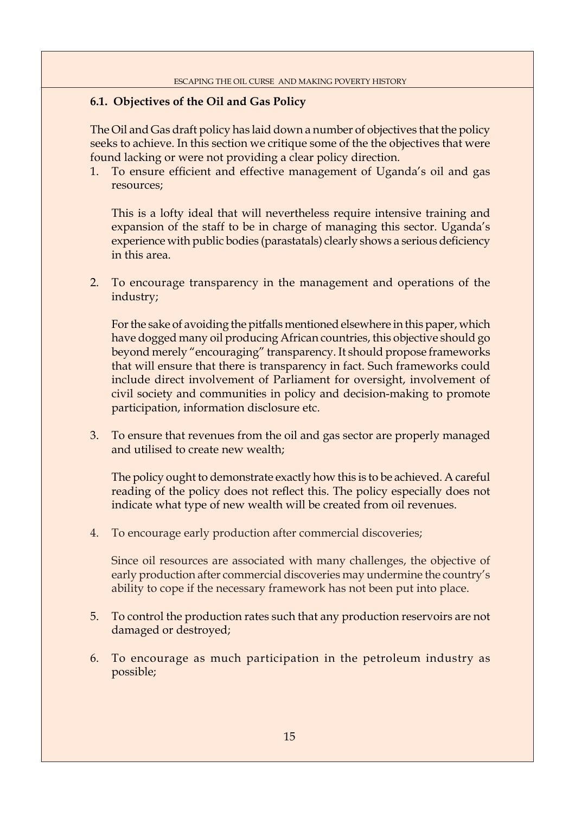## **6.1. Objectives of the Oil and Gas Policy**

The Oil and Gas draft policy has laid down a number of objectives that the policy seeks to achieve. In this section we critique some of the the objectives that were found lacking or were not providing a clear policy direction.

1. To ensure efficient and effective management of Uganda's oil and gas resources;

 This is a lofty ideal that will nevertheless require intensive training and expansion of the staff to be in charge of managing this sector. Uganda's experience with public bodies (parastatals) clearly shows a serious deficiency in this area.

2. To encourage transparency in the management and operations of the industry;

 For the sake of avoiding the pitfalls mentioned elsewhere in this paper, which have dogged many oil producing African countries, this objective should go beyond merely "encouraging" transparency. It should propose frameworks that will ensure that there is transparency in fact. Such frameworks could include direct involvement of Parliament for oversight, involvement of civil society and communities in policy and decision-making to promote participation, information disclosure etc.

3. To ensure that revenues from the oil and gas sector are properly managed and utilised to create new wealth;

 The policy ought to demonstrate exactly how this is to be achieved. A careful reading of the policy does not reflect this. The policy especially does not indicate what type of new wealth will be created from oil revenues.

4. To encourage early production after commercial discoveries;

 Since oil resources are associated with many challenges, the objective of early production after commercial discoveries may undermine the country's ability to cope if the necessary framework has not been put into place.

- 5. To control the production rates such that any production reservoirs are not damaged or destroyed;
- 6. To encourage as much participation in the petroleum industry as possible;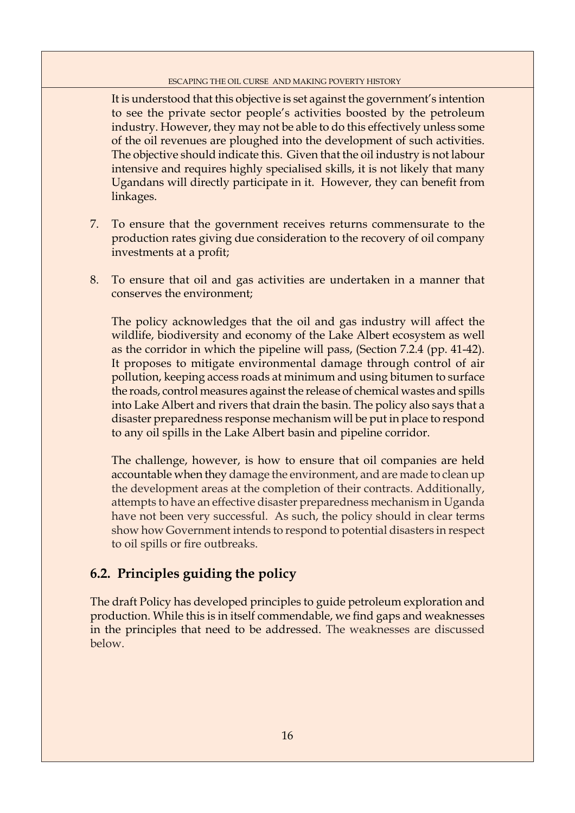It is understood that this objective is set against the government's intention to see the private sector people's activities boosted by the petroleum industry. However, they may not be able to do this effectively unless some of the oil revenues are ploughed into the development of such activities. The objective should indicate this. Given that the oil industry is not labour intensive and requires highly specialised skills, it is not likely that many Ugandans will directly participate in it. However, they can benefit from linkages.

- 7. To ensure that the government receives returns commensurate to the production rates giving due consideration to the recovery of oil company investments at a profit;
- 8. To ensure that oil and gas activities are undertaken in a manner that conserves the environment;

 The policy acknowledges that the oil and gas industry will affect the wildlife, biodiversity and economy of the Lake Albert ecosystem as well as the corridor in which the pipeline will pass, (Section 7.2.4 (pp. 41-42). It proposes to mitigate environmental damage through control of air pollution, keeping access roads at minimum and using bitumen to surface the roads, control measures against the release of chemical wastes and spills into Lake Albert and rivers that drain the basin. The policy also says that a disaster preparedness response mechanism will be put in place to respond to any oil spills in the Lake Albert basin and pipeline corridor.

 The challenge, however, is how to ensure that oil companies are held accountable when they damage the environment, and are made to clean up the development areas at the completion of their contracts. Additionally, attempts to have an effective disaster preparedness mechanism in Uganda have not been very successful. As such, the policy should in clear terms show how Government intends to respond to potential disasters in respect to oil spills or fire outbreaks.

## **6.2. Principles guiding the policy**

The draft Policy has developed principles to guide petroleum exploration and production. While this is in itself commendable, we find gaps and weaknesses in the principles that need to be addressed. The weaknesses are discussed below.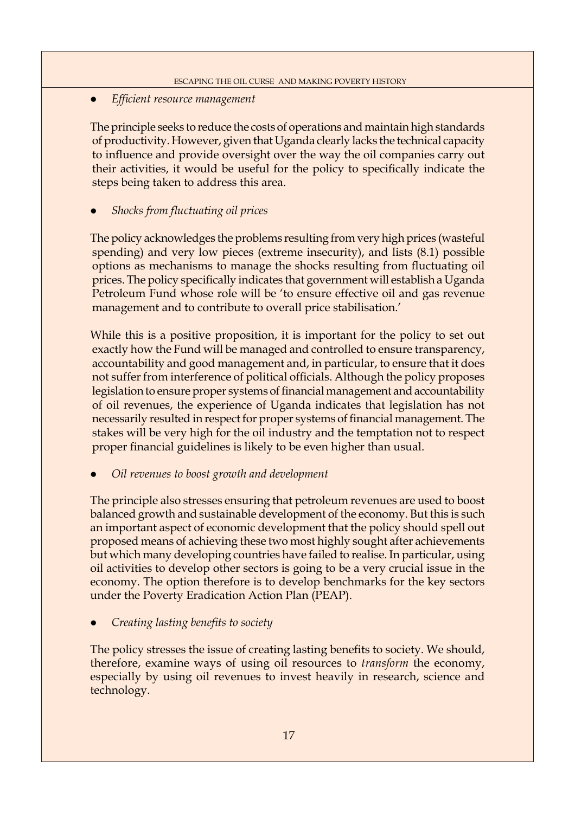## z *Effi cient resource management*

The principle seeks to reduce the costs of operations and maintain high standards of productivity. However, given that Uganda clearly lacks the technical capacity to influence and provide oversight over the way the oil companies carry out their activities, it would be useful for the policy to specifically indicate the steps being taken to address this area.

## *Shocks from fluctuating oil prices*

The policy acknowledges the problems resulting from very high prices (wasteful spending) and very low pieces (extreme insecurity), and lists (8.1) possible options as mechanisms to manage the shocks resulting from fluctuating oil prices. The policy specifically indicates that government will establish a Uganda Petroleum Fund whose role will be 'to ensure effective oil and gas revenue management and to contribute to overall price stabilisation.'

While this is a positive proposition, it is important for the policy to set out exactly how the Fund will be managed and controlled to ensure transparency, accountability and good management and, in particular, to ensure that it does not suffer from interference of political officials. Although the policy proposes legislation to ensure proper systems of financial management and accountability of oil revenues, the experience of Uganda indicates that legislation has not necessarily resulted in respect for proper systems of financial management. The stakes will be very high for the oil industry and the temptation not to respect proper financial guidelines is likely to be even higher than usual.

z *Oil revenues to boost growth and development*

The principle also stresses ensuring that petroleum revenues are used to boost balanced growth and sustainable development of the economy. But this is such an important aspect of economic development that the policy should spell out proposed means of achieving these two most highly sought after achievements but which many developing countries have failed to realise. In particular, using oil activities to develop other sectors is going to be a very crucial issue in the economy. The option therefore is to develop benchmarks for the key sectors under the Poverty Eradication Action Plan (PEAP).

*Creating lasting benefits to society* 

The policy stresses the issue of creating lasting benefits to society. We should, therefore, examine ways of using oil resources to *transform* the economy, especially by using oil revenues to invest heavily in research, science and technology.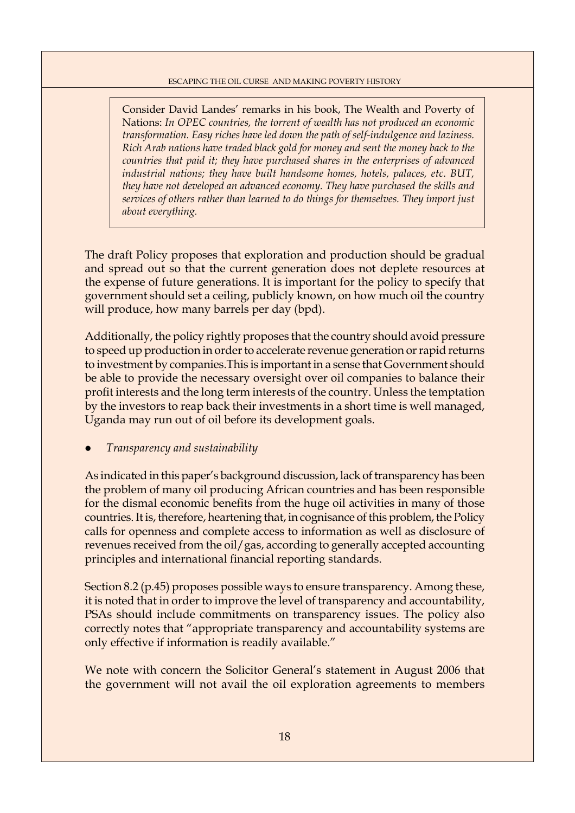Consider David Landes' remarks in his book, The Wealth and Poverty of Nations: *In OPEC countries, the torrent of wealth has not produced an economic transformation. Easy riches have led down the path of self-indulgence and laziness. Rich Arab nations have traded black gold for money and sent the money back to the countries that paid it; they have purchased shares in the enterprises of advanced industrial nations; they have built handsome homes, hotels, palaces, etc. BUT, they have not developed an advanced economy. They have purchased the skills and services of others rather than learned to do things for themselves. They import just about everything.*

The draft Policy proposes that exploration and production should be gradual and spread out so that the current generation does not deplete resources at the expense of future generations. It is important for the policy to specify that government should set a ceiling, publicly known, on how much oil the country will produce, how many barrels per day (bpd).

Additionally, the policy rightly proposes that the country should avoid pressure to speed up production in order to accelerate revenue generation or rapid returns to investment by companies.This is important in a sense that Government should be able to provide the necessary oversight over oil companies to balance their profit interests and the long term interests of the country. Unless the temptation by the investors to reap back their investments in a short time is well managed, Uganda may run out of oil before its development goals.

## z *Transparency and sustainability*

As indicated in this paper's background discussion, lack of transparency has been the problem of many oil producing African countries and has been responsible for the dismal economic benefits from the huge oil activities in many of those countries. It is, therefore, heartening that, in cognisance of this problem, the Policy calls for openness and complete access to information as well as disclosure of revenues received from the oil/gas, according to generally accepted accounting principles and international financial reporting standards.

Section 8.2 (p.45) proposes possible ways to ensure transparency. Among these, it is noted that in order to improve the level of transparency and accountability, PSAs should include commitments on transparency issues. The policy also correctly notes that "appropriate transparency and accountability systems are only effective if information is readily available."

We note with concern the Solicitor General's statement in August 2006 that the government will not avail the oil exploration agreements to members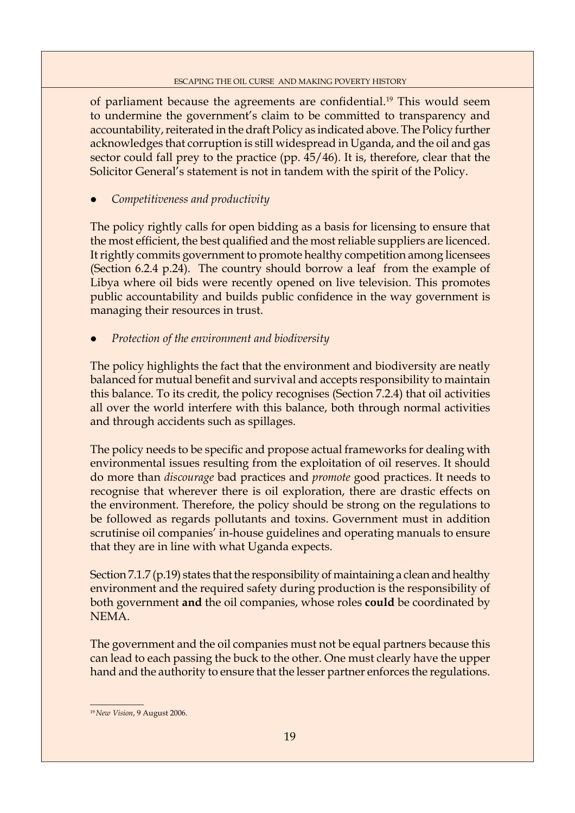of parliament because the agreements are confidential.<sup>19</sup> This would seem to undermine the government's claim to be committed to transparency and accountability, reiterated in the draft Policy as indicated above. The Policy further acknowledges that corruption is still widespread in Uganda, and the oil and gas sector could fall prey to the practice (pp. 45/46). It is, therefore, clear that the Solicitor General's statement is not in tandem with the spirit of the Policy.

z *Competitiveness and productivity* 

The policy rightly calls for open bidding as a basis for licensing to ensure that the most efficient, the best qualified and the most reliable suppliers are licenced. It rightly commits government to promote healthy competition among licensees (Section 6.2.4 p.24). The country should borrow a leaf from the example of Libya where oil bids were recently opened on live television. This promotes public accountability and builds public confidence in the way government is managing their resources in trust.

*Protection of the environment and biodiversity* 

The policy highlights the fact that the environment and biodiversity are neatly balanced for mutual benefit and survival and accepts responsibility to maintain this balance. To its credit, the policy recognises (Section 7.2.4) that oil activities all over the world interfere with this balance, both through normal activities and through accidents such as spillages.

The policy needs to be specific and propose actual frameworks for dealing with environmental issues resulting from the exploitation of oil reserves. It should do more than *discourage* bad practices and *promote* good practices. It needs to recognise that wherever there is oil exploration, there are drastic effects on the environment. Therefore, the policy should be strong on the regulations to be followed as regards pollutants and toxins. Government must in addition scrutinise oil companies' in-house guidelines and operating manuals to ensure that they are in line with what Uganda expects.

Section 7.1.7 (p.19) states that the responsibility of maintaining a clean and healthy environment and the required safety during production is the responsibility of both government **and** the oil companies, whose roles **could** be coordinated by NEMA.

The government and the oil companies must not be equal partners because this can lead to each passing the buck to the other. One must clearly have the upper hand and the authority to ensure that the lesser partner enforces the regulations.

<sup>19</sup> *New Vision*, 9 August 2006.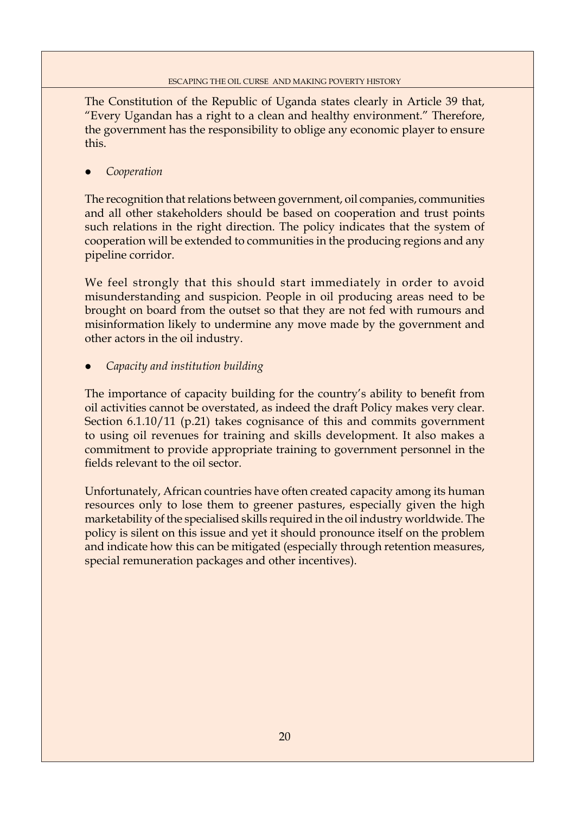The Constitution of the Republic of Uganda states clearly in Article 39 that, "Every Ugandan has a right to a clean and healthy environment." Therefore, the government has the responsibility to oblige any economic player to ensure this.

z *Cooperation* 

The recognition that relations between government, oil companies, communities and all other stakeholders should be based on cooperation and trust points such relations in the right direction. The policy indicates that the system of cooperation will be extended to communities in the producing regions and any pipeline corridor.

We feel strongly that this should start immediately in order to avoid misunderstanding and suspicion. People in oil producing areas need to be brought on board from the outset so that they are not fed with rumours and misinformation likely to undermine any move made by the government and other actors in the oil industry.

## z *Capacity and institution building*

The importance of capacity building for the country's ability to benefit from oil activities cannot be overstated, as indeed the draft Policy makes very clear. Section 6.1.10/11 (p.21) takes cognisance of this and commits government to using oil revenues for training and skills development. It also makes a commitment to provide appropriate training to government personnel in the fields relevant to the oil sector.

Unfortunately, African countries have often created capacity among its human resources only to lose them to greener pastures, especially given the high marketability of the specialised skills required in the oil industry worldwide. The policy is silent on this issue and yet it should pronounce itself on the problem and indicate how this can be mitigated (especially through retention measures, special remuneration packages and other incentives).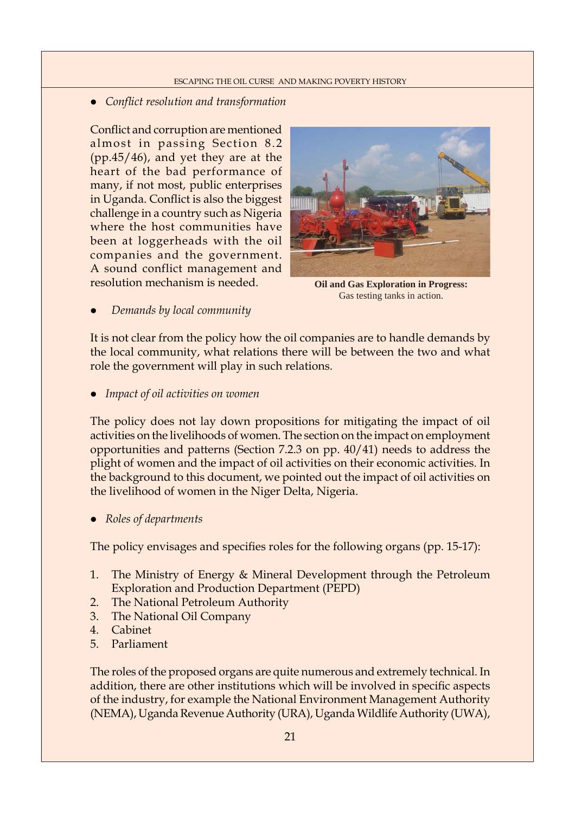## • Conflict resolution and transformation

Conflict and corruption are mentioned almost in passing Section 8.2 (pp.45/46), and yet they are at the heart of the bad performance of many, if not most, public enterprises in Uganda. Conflict is also the biggest challenge in a country such as Nigeria where the host communities have been at loggerheads with the oil companies and the government. A sound conflict management and resolution mechanism is needed.



**Oil and Gas Exploration in Progress:** Gas testing tanks in action.

z *Demands by local community*

It is not clear from the policy how the oil companies are to handle demands by the local community, what relations there will be between the two and what role the government will play in such relations.

z *Impact of oil activities on women*

The policy does not lay down propositions for mitigating the impact of oil activities on the livelihoods of women. The section on the impact on employment opportunities and patterns (Section 7.2.3 on pp. 40/41) needs to address the plight of women and the impact of oil activities on their economic activities. In the background to this document, we pointed out the impact of oil activities on the livelihood of women in the Niger Delta, Nigeria.

• Roles of departments

The policy envisages and specifies roles for the following organs (pp. 15-17):

- 1. The Ministry of Energy & Mineral Development through the Petroleum Exploration and Production Department (PEPD)
- 2. The National Petroleum Authority
- 3. The National Oil Company
- 4. Cabinet
- 5. Parliament

The roles of the proposed organs are quite numerous and extremely technical. In addition, there are other institutions which will be involved in specific aspects of the industry, for example the National Environment Management Authority (NEMA), Uganda Revenue Authority (URA), Uganda Wildlife Authority (UWA),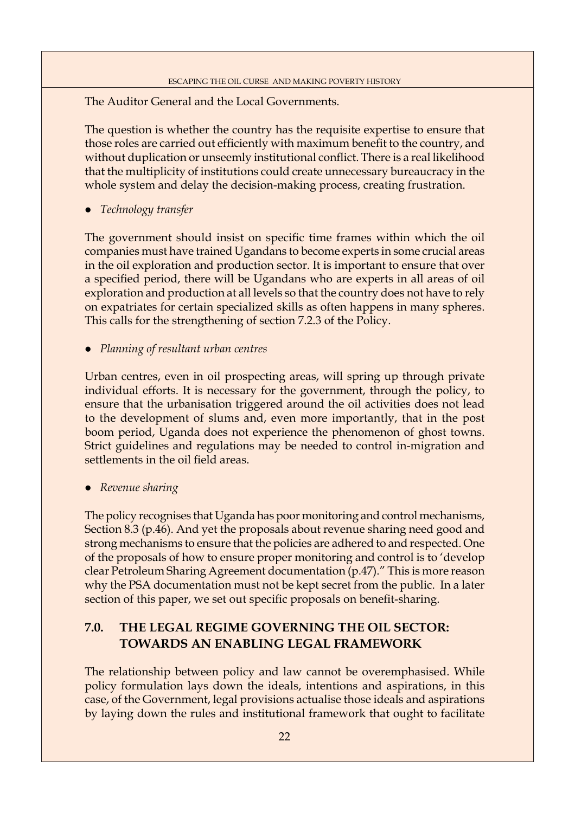The Auditor General and the Local Governments.

The question is whether the country has the requisite expertise to ensure that those roles are carried out efficiently with maximum benefit to the country, and without duplication or unseemly institutional conflict. There is a real likelihood that the multiplicity of institutions could create unnecessary bureaucracy in the whole system and delay the decision-making process, creating frustration.

**•** *Technology transfer* 

The government should insist on specific time frames within which the oil companies must have trained Ugandans to become experts in some crucial areas in the oil exploration and production sector. It is important to ensure that over a specified period, there will be Ugandans who are experts in all areas of oil exploration and production at all levels so that the country does not have to rely on expatriates for certain specialized skills as often happens in many spheres. This calls for the strengthening of section 7.2.3 of the Policy.

z *Planning of resultant urban centres*

Urban centres, even in oil prospecting areas, will spring up through private individual efforts. It is necessary for the government, through the policy, to ensure that the urbanisation triggered around the oil activities does not lead to the development of slums and, even more importantly, that in the post boom period, Uganda does not experience the phenomenon of ghost towns. Strict guidelines and regulations may be needed to control in-migration and settlements in the oil field areas.

• *Revenue sharing* 

The policy recognises that Uganda has poor monitoring and control mechanisms, Section 8.3 (p.46). And yet the proposals about revenue sharing need good and strong mechanisms to ensure that the policies are adhered to and respected. One of the proposals of how to ensure proper monitoring and control is to 'develop clear Petroleum Sharing Agreement documentation (p.47)." This is more reason why the PSA documentation must not be kept secret from the public. In a later section of this paper, we set out specific proposals on benefit-sharing.

## **7.0. THE LEGAL REGIME GOVERNING THE OIL SECTOR: TOWARDS AN ENABLING LEGAL FRAMEWORK**

The relationship between policy and law cannot be overemphasised. While policy formulation lays down the ideals, intentions and aspirations, in this case, of the Government, legal provisions actualise those ideals and aspirations by laying down the rules and institutional framework that ought to facilitate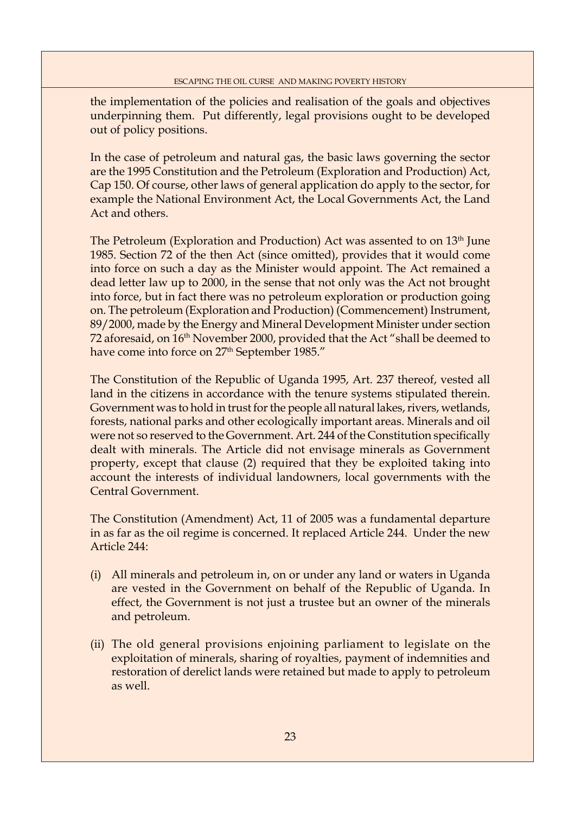the implementation of the policies and realisation of the goals and objectives underpinning them. Put differently, legal provisions ought to be developed out of policy positions.

In the case of petroleum and natural gas, the basic laws governing the sector are the 1995 Constitution and the Petroleum (Exploration and Production) Act, Cap 150. Of course, other laws of general application do apply to the sector, for example the National Environment Act, the Local Governments Act, the Land Act and others.

The Petroleum (Exploration and Production) Act was assented to on 13<sup>th</sup> June 1985. Section 72 of the then Act (since omitted), provides that it would come into force on such a day as the Minister would appoint. The Act remained a dead letter law up to 2000, in the sense that not only was the Act not brought into force, but in fact there was no petroleum exploration or production going on. The petroleum (Exploration and Production) (Commencement) Instrument, 89/2000, made by the Energy and Mineral Development Minister under section 72 aforesaid, on 16<sup>th</sup> November 2000, provided that the Act "shall be deemed to have come into force on 27<sup>th</sup> September 1985."

The Constitution of the Republic of Uganda 1995, Art. 237 thereof, vested all land in the citizens in accordance with the tenure systems stipulated therein. Government was to hold in trust for the people all natural lakes, rivers, wetlands, forests, national parks and other ecologically important areas. Minerals and oil were not so reserved to the Government. Art. 244 of the Constitution specifically dealt with minerals. The Article did not envisage minerals as Government property, except that clause (2) required that they be exploited taking into account the interests of individual landowners, local governments with the Central Government.

The Constitution (Amendment) Act, 11 of 2005 was a fundamental departure in as far as the oil regime is concerned. It replaced Article 244. Under the new Article 244:

- (i) All minerals and petroleum in, on or under any land or waters in Uganda are vested in the Government on behalf of the Republic of Uganda. In effect, the Government is not just a trustee but an owner of the minerals and petroleum.
- (ii) The old general provisions enjoining parliament to legislate on the exploitation of minerals, sharing of royalties, payment of indemnities and restoration of derelict lands were retained but made to apply to petroleum as well.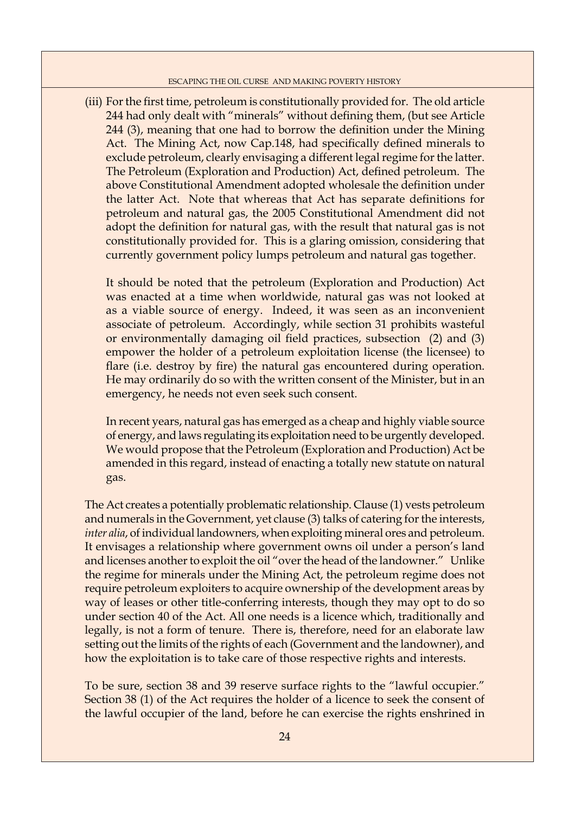(iii) For the first time, petroleum is constitutionally provided for. The old article 244 had only dealt with "minerals" without defining them, (but see Article 244 (3), meaning that one had to borrow the definition under the Mining Act. The Mining Act, now Cap.148, had specifically defined minerals to exclude petroleum, clearly envisaging a different legal regime for the latter. The Petroleum (Exploration and Production) Act, defined petroleum. The above Constitutional Amendment adopted wholesale the definition under the latter Act. Note that whereas that Act has separate definitions for petroleum and natural gas, the 2005 Constitutional Amendment did not adopt the definition for natural gas, with the result that natural gas is not constitutionally provided for. This is a glaring omission, considering that currently government policy lumps petroleum and natural gas together.

 It should be noted that the petroleum (Exploration and Production) Act was enacted at a time when worldwide, natural gas was not looked at as a viable source of energy. Indeed, it was seen as an inconvenient associate of petroleum. Accordingly, while section 31 prohibits wasteful or environmentally damaging oil field practices, subsection (2) and (3) empower the holder of a petroleum exploitation license (the licensee) to flare (i.e. destroy by fire) the natural gas encountered during operation. He may ordinarily do so with the written consent of the Minister, but in an emergency, he needs not even seek such consent.

 In recent years, natural gas has emerged as a cheap and highly viable source of energy, and laws regulating its exploitation need to be urgently developed. We would propose that the Petroleum (Exploration and Production) Act be amended in this regard, instead of enacting a totally new statute on natural gas.

The Act creates a potentially problematic relationship. Clause (1) vests petroleum and numerals in the Government, yet clause (3) talks of catering for the interests, *inter alia*, of individual landowners, when exploiting mineral ores and petroleum. It envisages a relationship where government owns oil under a person's land and licenses another to exploit the oil "over the head of the landowner." Unlike the regime for minerals under the Mining Act, the petroleum regime does not require petroleum exploiters to acquire ownership of the development areas by way of leases or other title-conferring interests, though they may opt to do so under section 40 of the Act. All one needs is a licence which, traditionally and legally, is not a form of tenure. There is, therefore, need for an elaborate law setting out the limits of the rights of each (Government and the landowner), and how the exploitation is to take care of those respective rights and interests.

To be sure, section 38 and 39 reserve surface rights to the "lawful occupier." Section 38 (1) of the Act requires the holder of a licence to seek the consent of the lawful occupier of the land, before he can exercise the rights enshrined in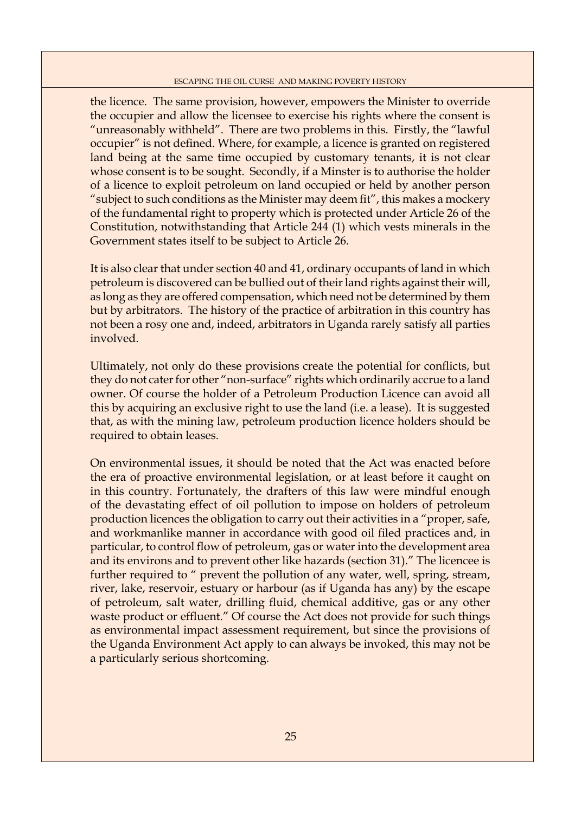the licence. The same provision, however, empowers the Minister to override the occupier and allow the licensee to exercise his rights where the consent is "unreasonably withheld". There are two problems in this. Firstly, the "lawful occupier" is not defined. Where, for example, a licence is granted on registered land being at the same time occupied by customary tenants, it is not clear whose consent is to be sought. Secondly, if a Minster is to authorise the holder of a licence to exploit petroleum on land occupied or held by another person "subject to such conditions as the Minister may deem fit", this makes a mockery of the fundamental right to property which is protected under Article 26 of the Constitution, notwithstanding that Article 244 (1) which vests minerals in the Government states itself to be subject to Article 26.

It is also clear that under section 40 and 41, ordinary occupants of land in which petroleum is discovered can be bullied out of their land rights against their will, as long as they are offered compensation, which need not be determined by them but by arbitrators. The history of the practice of arbitration in this country has not been a rosy one and, indeed, arbitrators in Uganda rarely satisfy all parties involved.

Ultimately, not only do these provisions create the potential for conflicts, but they do not cater for other "non-surface" rights which ordinarily accrue to a land owner. Of course the holder of a Petroleum Production Licence can avoid all this by acquiring an exclusive right to use the land (i.e. a lease). It is suggested that, as with the mining law, petroleum production licence holders should be required to obtain leases.

On environmental issues, it should be noted that the Act was enacted before the era of proactive environmental legislation, or at least before it caught on in this country. Fortunately, the drafters of this law were mindful enough of the devastating effect of oil pollution to impose on holders of petroleum production licences the obligation to carry out their activities in a "proper, safe, and workmanlike manner in accordance with good oil filed practices and, in particular, to control flow of petroleum, gas or water into the development area and its environs and to prevent other like hazards (section 31)." The licencee is further required to " prevent the pollution of any water, well, spring, stream, river, lake, reservoir, estuary or harbour (as if Uganda has any) by the escape of petroleum, salt water, drilling fluid, chemical additive, gas or any other waste product or effluent." Of course the Act does not provide for such things as environmental impact assessment requirement, but since the provisions of the Uganda Environment Act apply to can always be invoked, this may not be a particularly serious shortcoming.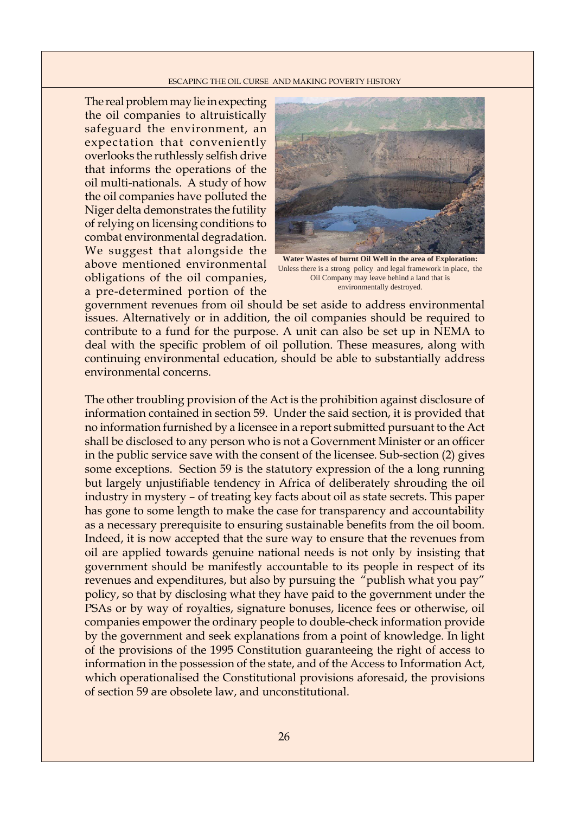The real problem may lie in expecting the oil companies to altruistically safeguard the environment, an expectation that conveniently overlooks the ruthlessly selfish drive that informs the operations of the oil multi-nationals. A study of how the oil companies have polluted the Niger delta demonstrates the futility of relying on licensing conditions to combat environmental degradation. We suggest that alongside the above mentioned environmental obligations of the oil companies, a pre-determined portion of the



**Water Wastes of burnt Oil Well in the area of Exploration:** Unless there is a strong policy and legal framework in place, the Oil Company may leave behind a land that is environmentally destroyed.

government revenues from oil should be set aside to address environmental issues. Alternatively or in addition, the oil companies should be required to contribute to a fund for the purpose. A unit can also be set up in NEMA to deal with the specific problem of oil pollution. These measures, along with continuing environmental education, should be able to substantially address environmental concerns.

The other troubling provision of the Act is the prohibition against disclosure of information contained in section 59. Under the said section, it is provided that no information furnished by a licensee in a report submitted pursuant to the Act shall be disclosed to any person who is not a Government Minister or an officer in the public service save with the consent of the licensee. Sub-section (2) gives some exceptions. Section 59 is the statutory expression of the a long running but largely unjustifiable tendency in Africa of deliberately shrouding the oil industry in mystery – of treating key facts about oil as state secrets. This paper has gone to some length to make the case for transparency and accountability as a necessary prerequisite to ensuring sustainable benefits from the oil boom. Indeed, it is now accepted that the sure way to ensure that the revenues from oil are applied towards genuine national needs is not only by insisting that government should be manifestly accountable to its people in respect of its revenues and expenditures, but also by pursuing the "publish what you pay" policy, so that by disclosing what they have paid to the government under the PSAs or by way of royalties, signature bonuses, licence fees or otherwise, oil companies empower the ordinary people to double-check information provide by the government and seek explanations from a point of knowledge. In light of the provisions of the 1995 Constitution guaranteeing the right of access to information in the possession of the state, and of the Access to Information Act, which operationalised the Constitutional provisions aforesaid, the provisions of section 59 are obsolete law, and unconstitutional.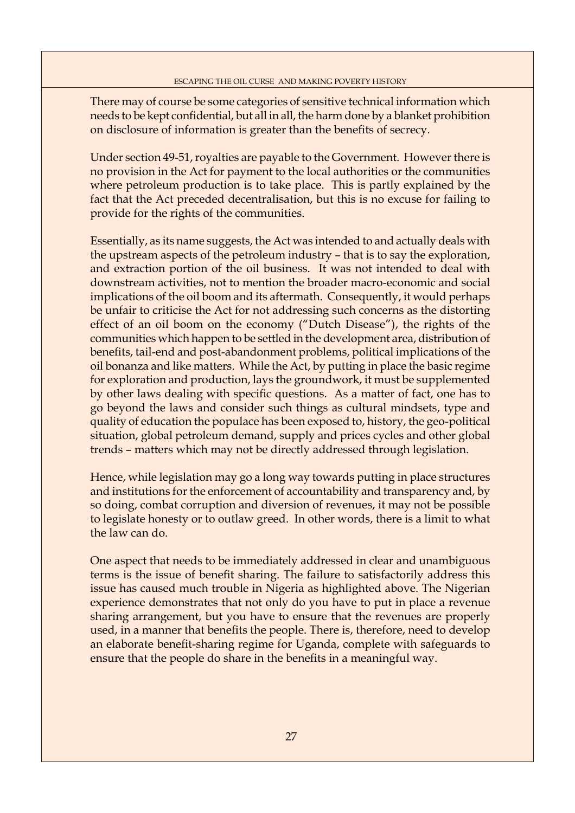There may of course be some categories of sensitive technical information which needs to be kept confidential, but all in all, the harm done by a blanket prohibition on disclosure of information is greater than the benefits of secrecy.

Under section 49-51, royalties are payable to the Government. However there is no provision in the Act for payment to the local authorities or the communities where petroleum production is to take place. This is partly explained by the fact that the Act preceded decentralisation, but this is no excuse for failing to provide for the rights of the communities.

Essentially, as its name suggests, the Act was intended to and actually deals with the upstream aspects of the petroleum industry – that is to say the exploration, and extraction portion of the oil business. It was not intended to deal with downstream activities, not to mention the broader macro-economic and social implications of the oil boom and its aftermath. Consequently, it would perhaps be unfair to criticise the Act for not addressing such concerns as the distorting effect of an oil boom on the economy ("Dutch Disease"), the rights of the communities which happen to be settled in the development area, distribution of benefits, tail-end and post-abandonment problems, political implications of the oil bonanza and like matters. While the Act, by putting in place the basic regime for exploration and production, lays the groundwork, it must be supplemented by other laws dealing with specific questions. As a matter of fact, one has to go beyond the laws and consider such things as cultural mindsets, type and quality of education the populace has been exposed to, history, the geo-political situation, global petroleum demand, supply and prices cycles and other global trends – matters which may not be directly addressed through legislation.

Hence, while legislation may go a long way towards putting in place structures and institutions for the enforcement of accountability and transparency and, by so doing, combat corruption and diversion of revenues, it may not be possible to legislate honesty or to outlaw greed. In other words, there is a limit to what the law can do.

One aspect that needs to be immediately addressed in clear and unambiguous terms is the issue of benefit sharing. The failure to satisfactorily address this issue has caused much trouble in Nigeria as highlighted above. The Nigerian experience demonstrates that not only do you have to put in place a revenue sharing arrangement, but you have to ensure that the revenues are properly used, in a manner that benefits the people. There is, therefore, need to develop an elaborate benefit-sharing regime for Uganda, complete with safeguards to ensure that the people do share in the benefits in a meaningful way.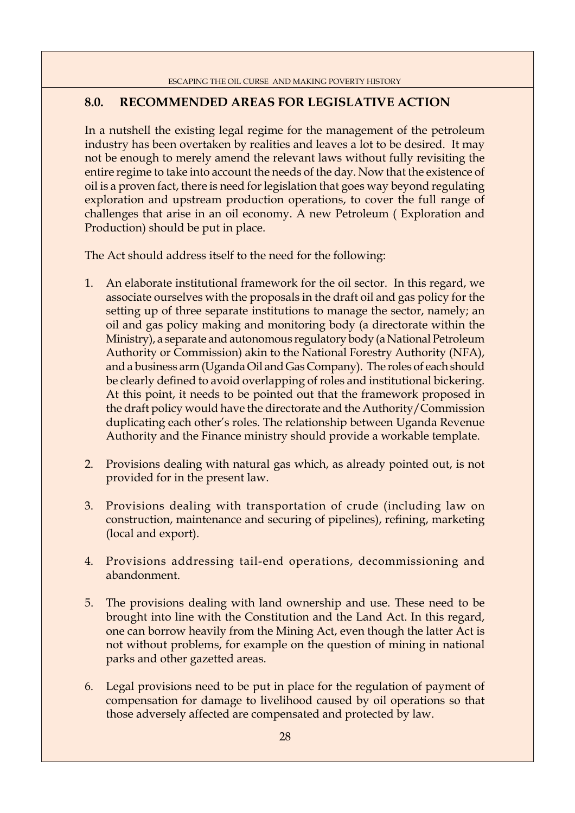## **8.0. RECOMMENDED AREAS FOR LEGISLATIVE ACTION**

In a nutshell the existing legal regime for the management of the petroleum industry has been overtaken by realities and leaves a lot to be desired. It may not be enough to merely amend the relevant laws without fully revisiting the entire regime to take into account the needs of the day. Now that the existence of oil is a proven fact, there is need for legislation that goes way beyond regulating exploration and upstream production operations, to cover the full range of challenges that arise in an oil economy. A new Petroleum ( Exploration and Production) should be put in place.

The Act should address itself to the need for the following:

- 1. An elaborate institutional framework for the oil sector. In this regard, we associate ourselves with the proposals in the draft oil and gas policy for the setting up of three separate institutions to manage the sector, namely; an oil and gas policy making and monitoring body (a directorate within the Ministry), a separate and autonomous regulatory body (a National Petroleum Authority or Commission) akin to the National Forestry Authority (NFA), and a business arm (Uganda Oil and Gas Company). The roles of each should be clearly defined to avoid overlapping of roles and institutional bickering. At this point, it needs to be pointed out that the framework proposed in the draft policy would have the directorate and the Authority/Commission duplicating each other's roles. The relationship between Uganda Revenue Authority and the Finance ministry should provide a workable template.
- 2. Provisions dealing with natural gas which, as already pointed out, is not provided for in the present law.
- 3. Provisions dealing with transportation of crude (including law on construction, maintenance and securing of pipelines), refining, marketing (local and export).
- 4. Provisions addressing tail-end operations, decommissioning and abandonment.
- 5. The provisions dealing with land ownership and use. These need to be brought into line with the Constitution and the Land Act. In this regard, one can borrow heavily from the Mining Act, even though the latter Act is not without problems, for example on the question of mining in national parks and other gazetted areas.
- 6. Legal provisions need to be put in place for the regulation of payment of compensation for damage to livelihood caused by oil operations so that those adversely affected are compensated and protected by law.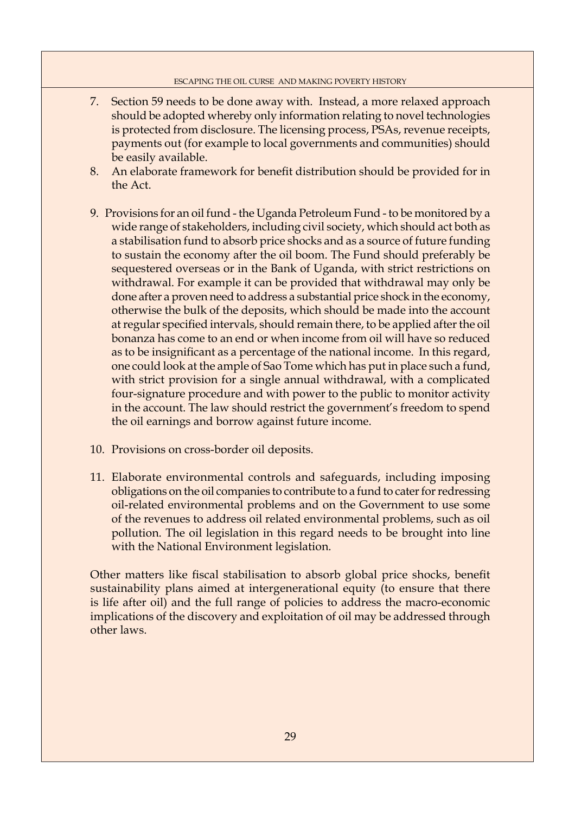- 7. Section 59 needs to be done away with. Instead, a more relaxed approach should be adopted whereby only information relating to novel technologies is protected from disclosure. The licensing process, PSAs, revenue receipts, payments out (for example to local governments and communities) should be easily available.
- 8. An elaborate framework for benefit distribution should be provided for in the Act.
- 9. Provisions for an oil fund the Uganda Petroleum Fund to be monitored by a wide range of stakeholders, including civil society, which should act both as a stabilisation fund to absorb price shocks and as a source of future funding to sustain the economy after the oil boom. The Fund should preferably be sequestered overseas or in the Bank of Uganda, with strict restrictions on withdrawal. For example it can be provided that withdrawal may only be done after a proven need to address a substantial price shock in the economy, otherwise the bulk of the deposits, which should be made into the account at regular specified intervals, should remain there, to be applied after the oil bonanza has come to an end or when income from oil will have so reduced as to be insignificant as a percentage of the national income. In this regard, one could look at the ample of Sao Tome which has put in place such a fund, with strict provision for a single annual withdrawal, with a complicated four-signature procedure and with power to the public to monitor activity in the account. The law should restrict the government's freedom to spend the oil earnings and borrow against future income.
- 10. Provisions on cross-border oil deposits.
- 11. Elaborate environmental controls and safeguards, including imposing obligations on the oil companies to contribute to a fund to cater for redressing oil-related environmental problems and on the Government to use some of the revenues to address oil related environmental problems, such as oil pollution. The oil legislation in this regard needs to be brought into line with the National Environment legislation.

Other matters like fiscal stabilisation to absorb global price shocks, benefit sustainability plans aimed at intergenerational equity (to ensure that there is life after oil) and the full range of policies to address the macro-economic implications of the discovery and exploitation of oil may be addressed through other laws.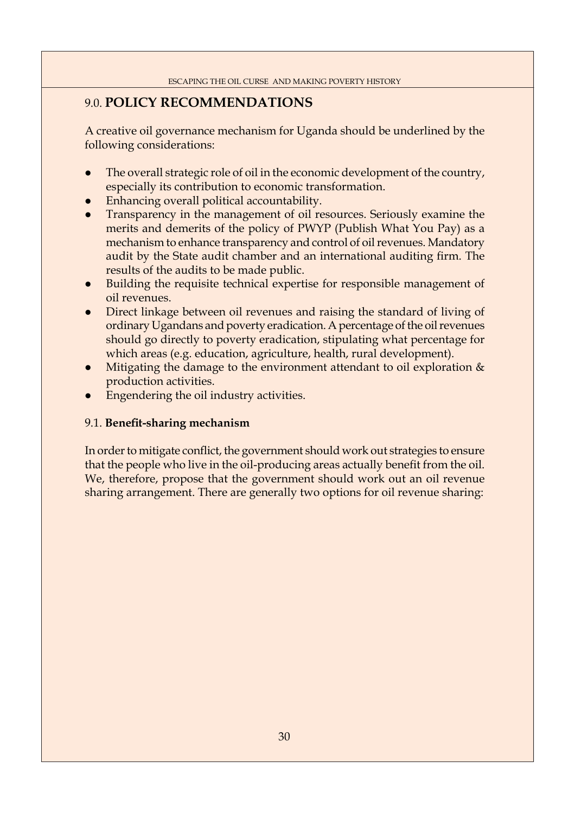## 9.0. **POLICY RECOMMENDATIONS**

A creative oil governance mechanism for Uganda should be underlined by the following considerations:

- The overall strategic role of oil in the economic development of the country, especially its contribution to economic transformation.
- Enhancing overall political accountability.
- z Transparency in the management of oil resources. Seriously examine the merits and demerits of the policy of PWYP (Publish What You Pay) as a mechanism to enhance transparency and control of oil revenues. Mandatory audit by the State audit chamber and an international auditing firm. The results of the audits to be made public.
- Building the requisite technical expertise for responsible management of oil revenues.
- Direct linkage between oil revenues and raising the standard of living of ordinary Ugandans and poverty eradication. A percentage of the oil revenues should go directly to poverty eradication, stipulating what percentage for which areas (e.g. education, agriculture, health, rural development).
- Mitigating the damage to the environment attendant to oil exploration  $\&$ production activities.
- Engendering the oil industry activities.

### 9.1. **Benefit-sharing mechanism**

In order to mitigate conflict, the government should work out strategies to ensure that the people who live in the oil-producing areas actually benefit from the oil. We, therefore, propose that the government should work out an oil revenue sharing arrangement. There are generally two options for oil revenue sharing: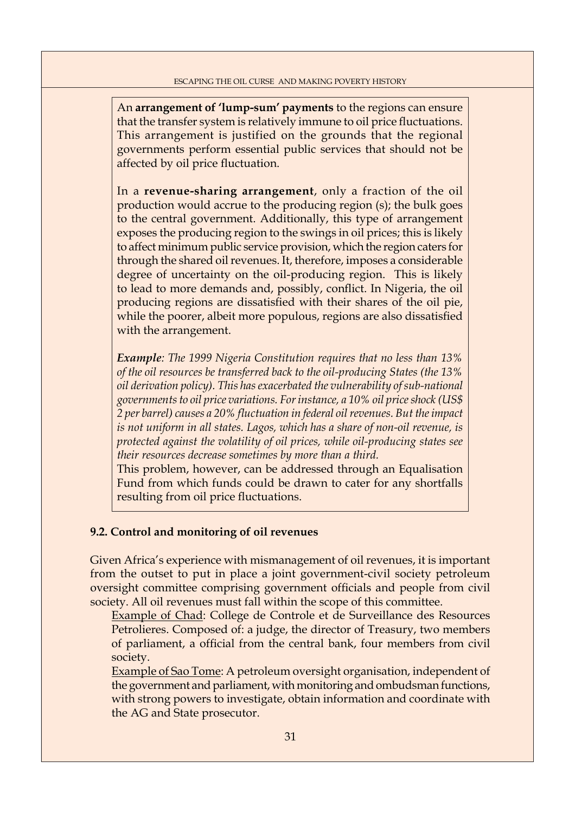An **arrangement of 'lump-sum' payments** to the regions can ensure that the transfer system is relatively immune to oil price fluctuations. This arrangement is justified on the grounds that the regional governments perform essential public services that should not be affected by oil price fluctuation.

In a **revenue-sharing arrangement**, only a fraction of the oil production would accrue to the producing region (s); the bulk goes to the central government. Additionally, this type of arrangement exposes the producing region to the swings in oil prices; this is likely to affect minimum public service provision, which the region caters for through the shared oil revenues. It, therefore, imposes a considerable degree of uncertainty on the oil-producing region. This is likely to lead to more demands and, possibly, conflict. In Nigeria, the oil producing regions are dissatisfied with their shares of the oil pie, while the poorer, albeit more populous, regions are also dissatisfied with the arrangement.

*Example: The 1999 Nigeria Constitution requires that no less than 13% of the oil resources be transferred back to the oil-producing States (the 13% oil derivation policy). This has exacerbated the vulnerability of sub-national governments to oil price variations. For instance, a 10% oil price shock (US\$ 2 per barrel) causes a 20% fl uctuation in federal oil revenues. But the impact is not uniform in all states. Lagos, which has a share of non-oil revenue, is protected against the volatility of oil prices, while oil-producing states see their resources decrease sometimes by more than a third.* 

This problem, however, can be addressed through an Equalisation Fund from which funds could be drawn to cater for any shortfalls resulting from oil price fluctuations.

### **9.2. Control and monitoring of oil revenues**

Given Africa's experience with mismanagement of oil revenues, it is important from the outset to put in place a joint government-civil society petroleum oversight committee comprising government officials and people from civil society. All oil revenues must fall within the scope of this committee.

 Example of Chad: College de Controle et de Surveillance des Resources Petrolieres. Composed of: a judge, the director of Treasury, two members of parliament, a official from the central bank, four members from civil society.

 Example of Sao Tome: A petroleum oversight organisation, independent of the government and parliament, with monitoring and ombudsman functions, with strong powers to investigate, obtain information and coordinate with the AG and State prosecutor.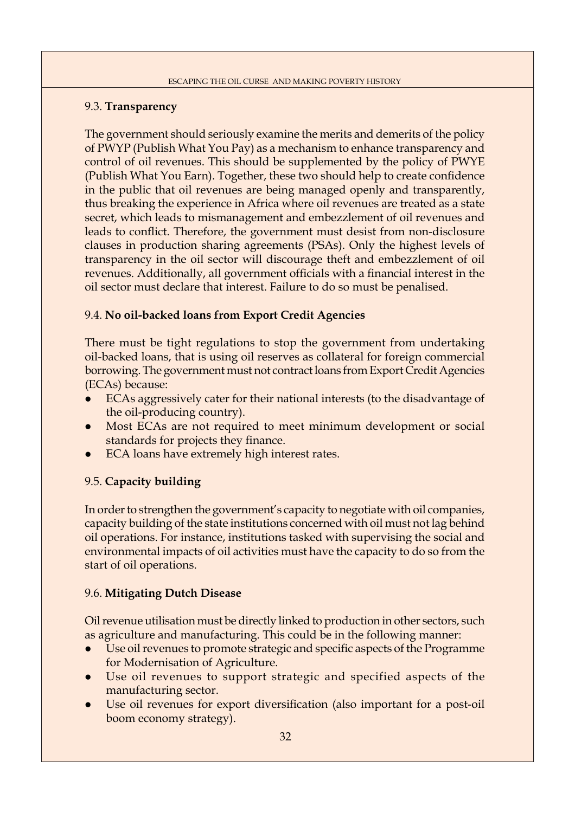## 9.3. **Transparency**

The government should seriously examine the merits and demerits of the policy of PWYP (Publish What You Pay) as a mechanism to enhance transparency and control of oil revenues. This should be supplemented by the policy of PWYE (Publish What You Earn). Together, these two should help to create confidence in the public that oil revenues are being managed openly and transparently, thus breaking the experience in Africa where oil revenues are treated as a state secret, which leads to mismanagement and embezzlement of oil revenues and leads to conflict. Therefore, the government must desist from non-disclosure clauses in production sharing agreements (PSAs). Only the highest levels of transparency in the oil sector will discourage theft and embezzlement of oil revenues. Additionally, all government officials with a financial interest in the oil sector must declare that interest. Failure to do so must be penalised.

## 9.4. **No oil-backed loans from Export Credit Agencies**

There must be tight regulations to stop the government from undertaking oil-backed loans, that is using oil reserves as collateral for foreign commercial borrowing. The government must not contract loans from Export Credit Agencies (ECAs) because:

- ECAs aggressively cater for their national interests (to the disadvantage of the oil-producing country).
- Most ECAs are not required to meet minimum development or social standards for projects they finance.
- ECA loans have extremely high interest rates.

## 9.5. **Capacity building**

In order to strengthen the government's capacity to negotiate with oil companies, capacity building of the state institutions concerned with oil must not lag behind oil operations. For instance, institutions tasked with supervising the social and environmental impacts of oil activities must have the capacity to do so from the start of oil operations.

### 9.6. **Mitigating Dutch Disease**

Oil revenue utilisation must be directly linked to production in other sectors, such as agriculture and manufacturing. This could be in the following manner:

- Use oil revenues to promote strategic and specific aspects of the Programme for Modernisation of Agriculture.
- Use oil revenues to support strategic and specified aspects of the manufacturing sector.
- Use oil revenues for export diversification (also important for a post-oil boom economy strategy).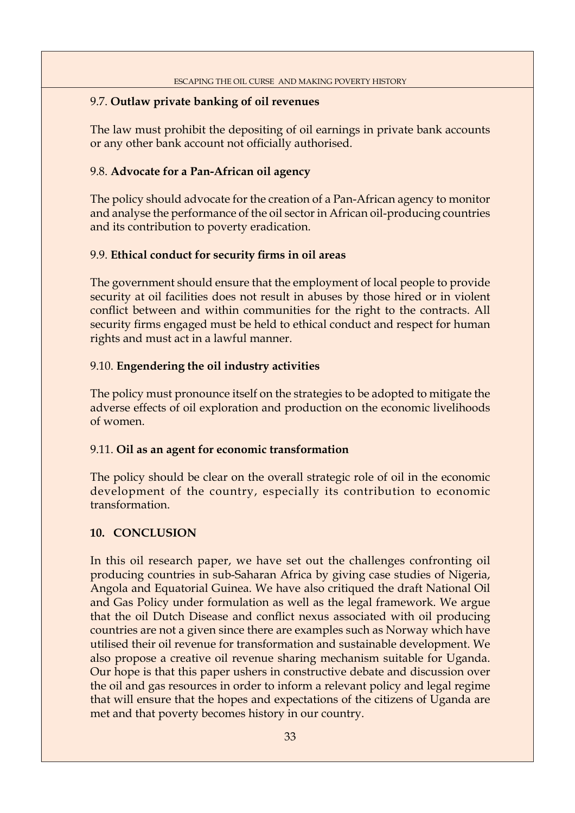## 9.7. **Outlaw private banking of oil revenues**

The law must prohibit the depositing of oil earnings in private bank accounts or any other bank account not officially authorised.

### 9.8. **Advocate for a Pan-African oil agency**

The policy should advocate for the creation of a Pan-African agency to monitor and analyse the performance of the oil sector in African oil-producing countries and its contribution to poverty eradication.

## 9.9. Ethical conduct for security firms in oil areas

The government should ensure that the employment of local people to provide security at oil facilities does not result in abuses by those hired or in violent conflict between and within communities for the right to the contracts. All security firms engaged must be held to ethical conduct and respect for human rights and must act in a lawful manner.

## 9.10. **Engendering the oil industry activities**

The policy must pronounce itself on the strategies to be adopted to mitigate the adverse effects of oil exploration and production on the economic livelihoods of women.

### 9.11. **Oil as an agent for economic transformation**

The policy should be clear on the overall strategic role of oil in the economic development of the country, especially its contribution to economic transformation.

### **10. CONCLUSION**

In this oil research paper, we have set out the challenges confronting oil producing countries in sub-Saharan Africa by giving case studies of Nigeria, Angola and Equatorial Guinea. We have also critiqued the draft National Oil and Gas Policy under formulation as well as the legal framework. We argue that the oil Dutch Disease and conflict nexus associated with oil producing countries are not a given since there are examples such as Norway which have utilised their oil revenue for transformation and sustainable development. We also propose a creative oil revenue sharing mechanism suitable for Uganda. Our hope is that this paper ushers in constructive debate and discussion over the oil and gas resources in order to inform a relevant policy and legal regime that will ensure that the hopes and expectations of the citizens of Uganda are met and that poverty becomes history in our country.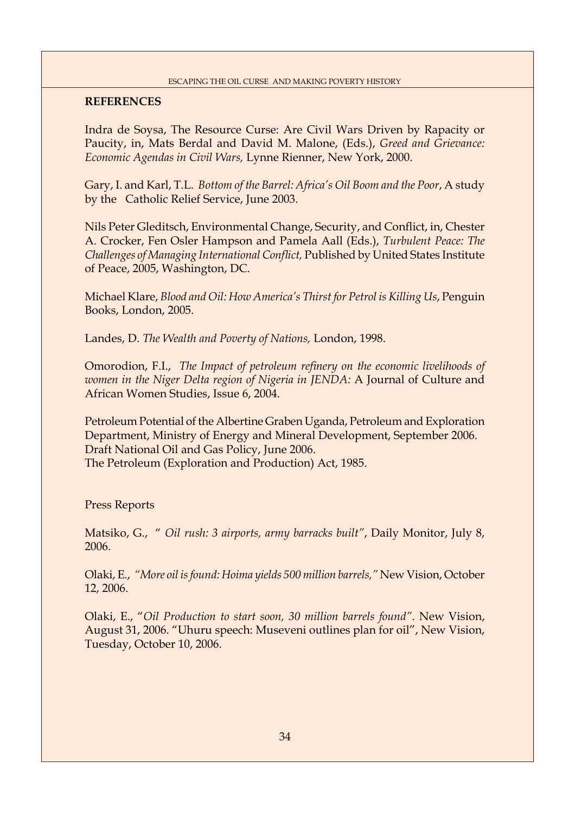## **REFERENCES**

Indra de Soysa, The Resource Curse: Are Civil Wars Driven by Rapacity or Paucity, in, Mats Berdal and David M. Malone, (Eds.), *Greed and Grievance: Economic Agendas in Civil Wars,* Lynne Rienner, New York, 2000.

Gary, I. and Karl, T.L. *Bottom of the Barrel: Africa's Oil Boom and the Poor*, A study by the Catholic Relief Service, June 2003.

Nils Peter Gleditsch, Environmental Change, Security, and Conflict, in, Chester A. Crocker, Fen Osler Hampson and Pamela Aall (Eds.), *Turbulent Peace: The Challenges of Managing International Conflict, Published by United States Institute* of Peace, 2005, Washington, DC.

Michael Klare, *Blood and Oil: How America's Thirst for Petrol is Killing Us*, Penguin Books, London, 2005.

Landes, D. *The Wealth and Poverty of Nations,* London, 1998.

Omorodion, F.I., *The Impact of petroleum refinery on the economic livelihoods of women in the Niger Delta region of Nigeria in JENDA:* A Journal of Culture and African Women Studies, Issue 6, 2004.

Petroleum Potential of the Albertine Graben Uganda, Petroleum and Exploration Department, Ministry of Energy and Mineral Development, September 2006. Draft National Oil and Gas Policy, June 2006. The Petroleum (Exploration and Production) Act, 1985.

Press Reports

Matsiko, G., " *Oil rush: 3 airports, army barracks built"*, Daily Monitor, July 8, 2006.

Olaki, E., *"More oil is found: Hoima yields 500 million barrels,"* New Vision, October 12, 2006.

Olaki, E., "*Oil Production to start soon, 30 million barrels found"*. New Vision, August 31, 2006. "Uhuru speech: Museveni outlines plan for oil", New Vision, Tuesday, October 10, 2006.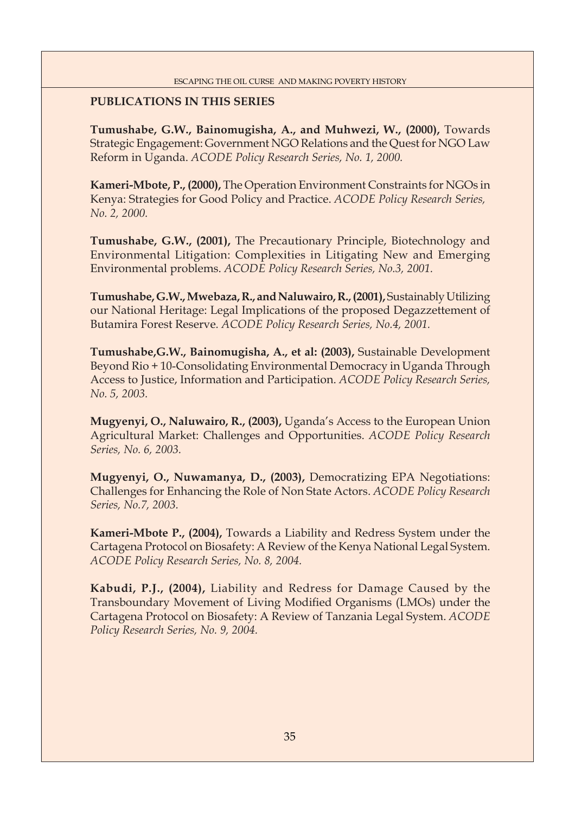## **PUBLICATIONS IN THIS SERIES**

**Tumushabe, G.W., Bainomugisha, A., and Muhwezi, W., (2000),** Towards Strategic Engagement: Government NGO Relations and the Quest for NGO Law Reform in Uganda. *ACODE Policy Research Series, No. 1, 2000.*

**Kameri-Mbote, P., (2000),** The Operation Environment Constraints for NGOs in Kenya: Strategies for Good Policy and Practice. *ACODE Policy Research Series, No. 2, 2000.*

**Tumushabe, G.W., (2001),** The Precautionary Principle, Biotechnology and Environmental Litigation: Complexities in Litigating New and Emerging Environmental problems. *ACODE Policy Research Series, No.3, 2001.*

**Tumushabe, G.W., Mwebaza, R., and Naluwairo, R., (2001),** Sustainably Utilizing our National Heritage: Legal Implications of the proposed Degazzettement of Butamira Forest Reserve*. ACODE Policy Research Series, No.4, 2001.*

**Tumushabe,G.W., Bainomugisha, A., et al: (2003),** Sustainable Development Beyond Rio + 10-Consolidating Environmental Democracy in Uganda Through Access to Justice, Information and Participation. *ACODE Policy Research Series, No. 5, 2003.*

**Mugyenyi, O., Naluwairo, R., (2003),** Uganda's Access to the European Union Agricultural Market: Challenges and Opportunities. *ACODE Policy Research Series, No. 6, 2003.*

**Mugyenyi, O., Nuwamanya, D., (2003),** Democratizing EPA Negotiations: Challenges for Enhancing the Role of Non State Actors. *ACODE Policy Research Series, No.7, 2003.*

**Kameri-Mbote P., (2004),** Towards a Liability and Redress System under the Cartagena Protocol on Biosafety: A Review of the Kenya National Legal System. *ACODE Policy Research Series, No. 8, 2004.*

**Kabudi, P.J., (2004),** Liability and Redress for Damage Caused by the Transboundary Movement of Living Modified Organisms (LMOs) under the Cartagena Protocol on Biosafety: A Review of Tanzania Legal System. *ACODE Policy Research Series, No. 9, 2004.*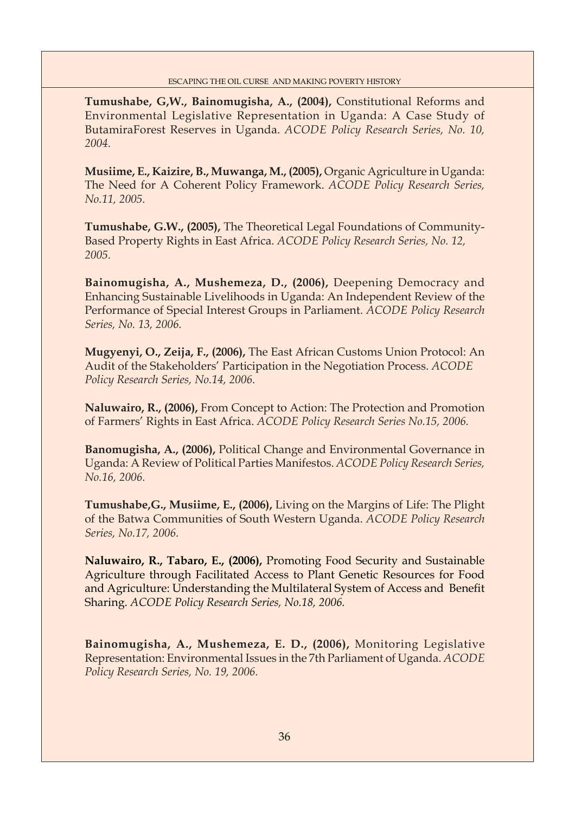**Tumushabe, G,W., Bainomugisha, A., (2004),** Constitutional Reforms and Environmental Legislative Representation in Uganda: A Case Study of ButamiraForest Reserves in Uganda. *ACODE Policy Research Series, No. 10, 2004.*

**Musiime, E., Kaizire, B., Muwanga, M., (2005),** Organic Agriculture in Uganda: The Need for A Coherent Policy Framework. *ACODE Policy Research Series, No.11, 2005.*

**Tumushabe, G.W., (2005),** The Theoretical Legal Foundations of Community-Based Property Rights in East Africa. *ACODE Policy Research Series, No. 12, 2005.*

**Bainomugisha, A., Mushemeza, D., (2006),** Deepening Democracy and Enhancing Sustainable Livelihoods in Uganda: An Independent Review of the Performance of Special Interest Groups in Parliament. *ACODE Policy Research Series, No. 13, 2006.*

**Mugyenyi, O., Zeija, F., (2006),** The East African Customs Union Protocol: An Audit of the Stakeholders' Participation in the Negotiation Process. *ACODE Policy Research Series, No.14, 2006.*

**Naluwairo, R., (2006),** From Concept to Action: The Protection and Promotion of Farmers' Rights in East Africa. *ACODE Policy Research Series No.15, 2006.*

**Banomugisha, A., (2006),** Political Change and Environmental Governance in Uganda: A Review of Political Parties Manifestos. *ACODE Policy Research Series, No.16, 2006.*

**Tumushabe,G., Musiime, E., (2006),** Living on the Margins of Life: The Plight of the Batwa Communities of South Western Uganda. *ACODE Policy Research Series, No.17, 2006.* 

**Naluwairo, R., Tabaro, E., (2006),** Promoting Food Security and Sustainable Agriculture through Facilitated Access to Plant Genetic Resources for Food and Agriculture: Understanding the Multilateral System of Access and Benefit Sharing. *ACODE Policy Research Series, No.18, 2006.* 

**Bainomugisha, A., Mushemeza, E. D., (2006),** Monitoring Legislative Representation: Environmental Issues in the 7th Parliament of Uganda. *ACODE Policy Research Series, No. 19, 2006.*